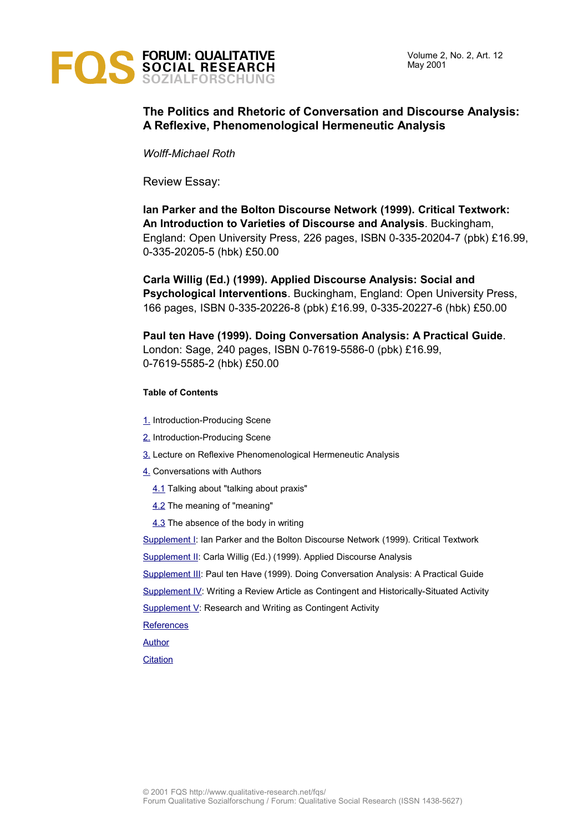

# **The Politics and Rhetoric of Conversation and Discourse Analysis: A Reflexive, Phenomenological Hermeneutic Analysis**

*Wolff-Michael Roth*

Review Essay:

**Ian Parker and the Bolton Discourse Network (1999). Critical Textwork: An Introduction to Varieties of Discourse and Analysis**. Buckingham, England: Open University Press, 226 pages, ISBN 0-335-20204-7 (pbk) £16.99, 0-335-20205-5 (hbk) £50.00

**Carla Willig (Ed.) (1999). Applied Discourse Analysis: Social and Psychological Interventions**. Buckingham, England: Open University Press, 166 pages, ISBN 0-335-20226-8 (pbk) £16.99, 0-335-20227-6 (hbk) £50.00

**Paul ten Have (1999). Doing Conversation Analysis: A Practical Guide**. London: Sage, 240 pages, ISBN 0-7619-5586-0 (pbk) £16.99, 0-7619-5585-2 (hbk) £50.00

#### **Table of Contents**

- [1.](#page-2-0) Introduction-Producing Scene
- [2.](#page-3-0) Introduction-Producing Scene
- [3.](#page-5-0) Lecture on Reflexive Phenomenological Hermeneutic Analysis
- [4.](#page-7-1) Conversations with Authors
	- [4.1](#page-7-0) Talking about "talking about praxis"
	- [4.2](#page-11-0) The meaning of "meaning"
	- [4.3](#page-14-0) The absence of the body in writing

[Supplement I:](#page-17-0) Ian Parker and the Bolton Discourse Network (1999). Critical Textwork

[Supplement II:](#page-23-0) Carla Willig (Ed.) (1999). Applied Discourse Analysis

[Supplement III:](#page-29-0) Paul ten Have (1999). Doing Conversation Analysis: A Practical Guide

[Supplement IV:](#page-32-0) Writing a Review Article as Contingent and Historically-Situated Activity

[Supplement V:](#page-17-0) Research and Writing as Contingent Activity

**[References](#page-34-0)** 

[Author](#page-36-1)

**[Citation](#page-36-0)**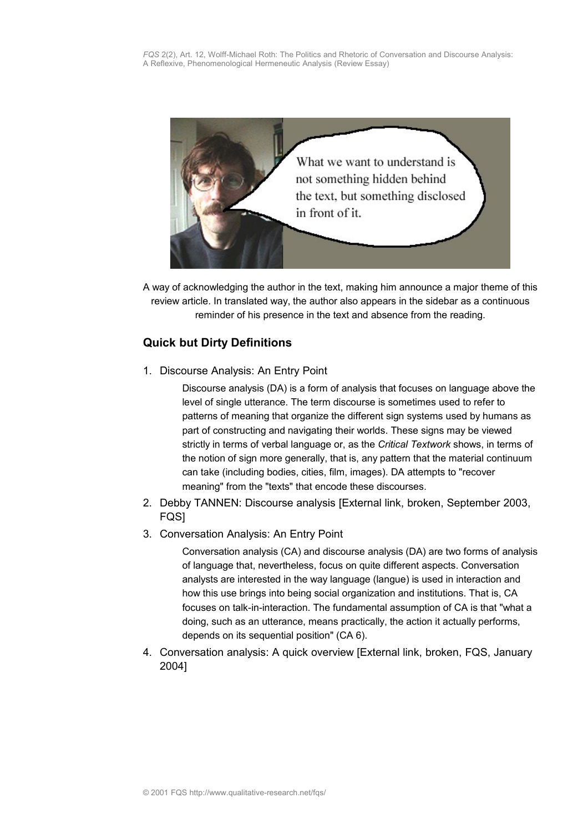

A way of acknowledging the author in the text, making him announce a major theme of this review article. In translated way, the author also appears in the sidebar as a continuous reminder of his presence in the text and absence from the reading.

# **Quick but Dirty Definitions**

1. Discourse Analysis: An Entry Point

Discourse analysis (DA) is a form of analysis that focuses on language above the level of single utterance. The term discourse is sometimes used to refer to patterns of meaning that organize the different sign systems used by humans as part of constructing and navigating their worlds. These signs may be viewed strictly in terms of verbal language or, as the *Critical Textwork* shows, in terms of the notion of sign more generally, that is, any pattern that the material continuum can take (including bodies, cities, film, images). DA attempts to "recover meaning" from the "texts" that encode these discourses.

- 2. Debby TANNEN: Discourse analysis [External link, broken, September 2003, FQS]
- 3. Conversation Analysis: An Entry Point

Conversation analysis (CA) and discourse analysis (DA) are two forms of analysis of language that, nevertheless, focus on quite different aspects. Conversation analysts are interested in the way language (langue) is used in interaction and how this use brings into being social organization and institutions. That is, CA focuses on talk-in-interaction. The fundamental assumption of CA is that "what a doing, such as an utterance, means practically, the action it actually performs, depends on its sequential position" (CA 6).

4. Conversation analysis: A quick overview [External link, broken, FQS, January 2004]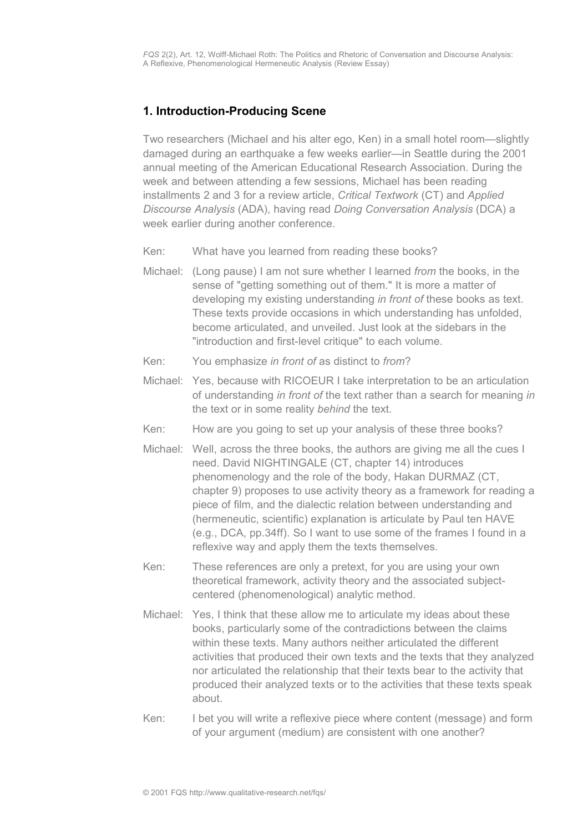# <span id="page-2-0"></span>**1. Introduction-Producing Scene**

Two researchers (Michael and his alter ego, Ken) in a small hotel room—slightly damaged during an earthquake a few weeks earlier—in Seattle during the 2001 annual meeting of the American Educational Research Association. During the week and between attending a few sessions, Michael has been reading installments 2 and 3 for a review article, *Critical Textwork* (CT) and *Applied Discourse Analysis* (ADA), having read *Doing Conversation Analysis* (DCA) a week earlier during another conference.

- Ken: What have you learned from reading these books?
- Michael: (Long pause) I am not sure whether I learned *from* the books, in the sense of "getting something out of them." It is more a matter of developing my existing understanding *in front of* these books as text. These texts provide occasions in which understanding has unfolded, become articulated, and unveiled. Just look at the sidebars in the "introduction and first-level critique" to each volume.
- Ken: You emphasize *in front of* as distinct to *from*?
- Michael: Yes, because with RICOEUR I take interpretation to be an articulation of understanding *in front of* the text rather than a search for meaning *in* the text or in some reality *behind* the text.
- Ken: How are you going to set up your analysis of these three books?
- Michael: Well, across the three books, the authors are giving me all the cues I need. David NIGHTINGALE (CT, chapter 14) introduces phenomenology and the role of the body, Hakan DURMAZ (CT, chapter 9) proposes to use activity theory as a framework for reading a piece of film, and the dialectic relation between understanding and (hermeneutic, scientific) explanation is articulate by Paul ten HAVE (e.g., DCA, pp.34ff). So I want to use some of the frames I found in a reflexive way and apply them the texts themselves.
- Ken: These references are only a pretext, for you are using your own theoretical framework, activity theory and the associated subjectcentered (phenomenological) analytic method.
- Michael: Yes, I think that these allow me to articulate my ideas about these books, particularly some of the contradictions between the claims within these texts. Many authors neither articulated the different activities that produced their own texts and the texts that they analyzed nor articulated the relationship that their texts bear to the activity that produced their analyzed texts or to the activities that these texts speak about.
- Ken: I bet you will write a reflexive piece where content (message) and form of your argument (medium) are consistent with one another?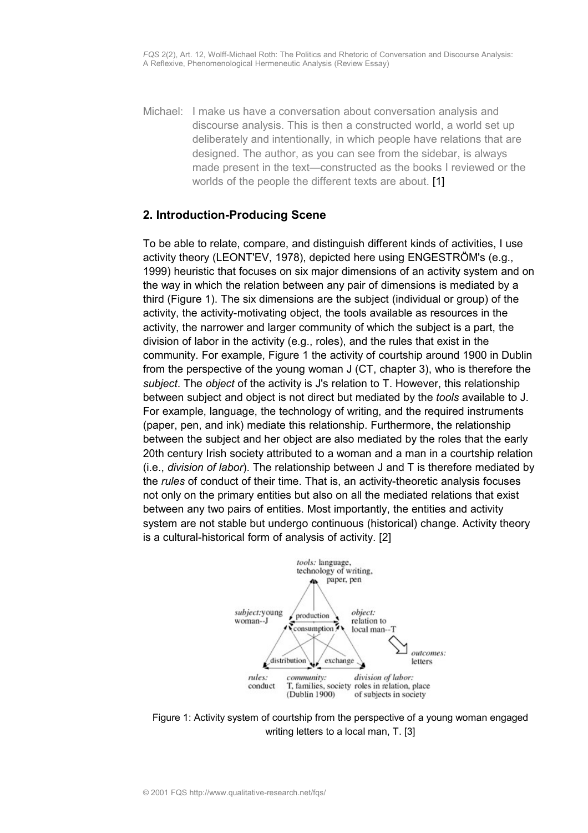Michael: I make us have a conversation about conversation analysis and discourse analysis. This is then a constructed world, a world set up deliberately and intentionally, in which people have relations that are designed. The author, as you can see from the sidebar, is always made present in the text—constructed as the books I reviewed or the worlds of the people the different texts are about. [1]

# <span id="page-3-0"></span>**2. Introduction-Producing Scene**

To be able to relate, compare, and distinguish different kinds of activities, I use activity theory (LEONT'EV, 1978), depicted here using ENGESTRÖM's (e.g., 1999) heuristic that focuses on six major dimensions of an activity system and on the way in which the relation between any pair of dimensions is mediated by a third (Figure 1). The six dimensions are the subject (individual or group) of the activity, the activity-motivating object, the tools available as resources in the activity, the narrower and larger community of which the subject is a part, the division of labor in the activity (e.g., roles), and the rules that exist in the community. For example, Figure 1 the activity of courtship around 1900 in Dublin from the perspective of the young woman J (CT, chapter 3), who is therefore the *subject*. The *object* of the activity is J's relation to T. However, this relationship between subject and object is not direct but mediated by the *tools* available to J. For example, language, the technology of writing, and the required instruments (paper, pen, and ink) mediate this relationship. Furthermore, the relationship between the subject and her object are also mediated by the roles that the early 20th century Irish society attributed to a woman and a man in a courtship relation (i.e., *division of labor*). The relationship between J and T is therefore mediated by the *rules* of conduct of their time. That is, an activity-theoretic analysis focuses not only on the primary entities but also on all the mediated relations that exist between any two pairs of entities. Most importantly, the entities and activity system are not stable but undergo continuous (historical) change. Activity theory is a cultural-historical form of analysis of activity. [2]



Figure 1: Activity system of courtship from the perspective of a young woman engaged writing letters to a local man, T. [3]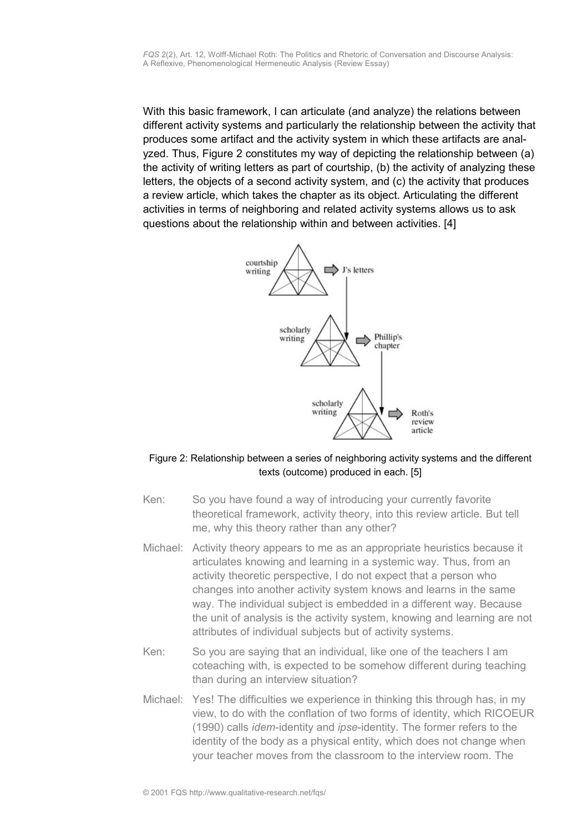With this basic framework, I can articulate (and analyze) the relations between different activity systems and particularly the relationship between the activity that produces some artifact and the activity system in which these artifacts are analyzed. Thus, Figure 2 constitutes my way of depicting the relationship between (a) the activity of writing letters as part of courtship, (b) the activity of analyzing these letters, the objects of a second activity system, and (c) the activity that produces a review article, which takes the chapter as its object. Articulating the different activities in terms of neighboring and related activity systems allows us to ask questions about the relationship within and between activities. [4]



#### Figure 2: Relationship between a series of neighboring activity systems and the different texts (outcome) produced in each. [5]

- Ken: So you have found a way of introducing your currently favorite theoretical framework, activity theory, into this review article. But tell me, why this theory rather than any other?
- Michael: Activity theory appears to me as an appropriate heuristics because it articulates knowing and learning in a systemic way. Thus, from an activity theoretic perspective, I do not expect that a person who changes into another activity system knows and learns in the same way. The individual subject is embedded in a different way. Because the unit of analysis is the activity system, knowing and learning are not attributes of individual subjects but of activity systems.
- Ken: So you are saying that an individual, like one of the teachers I am coteaching with, is expected to be somehow different during teaching than during an interview situation?
- Michael: Yes! The difficulties we experience in thinking this through has, in my view, to do with the conflation of two forms of identity, which RICOEUR (1990) calls *idem*-identity and *ipse*-identity. The former refers to the identity of the body as a physical entity, which does not change when your teacher moves from the classroom to the interview room. The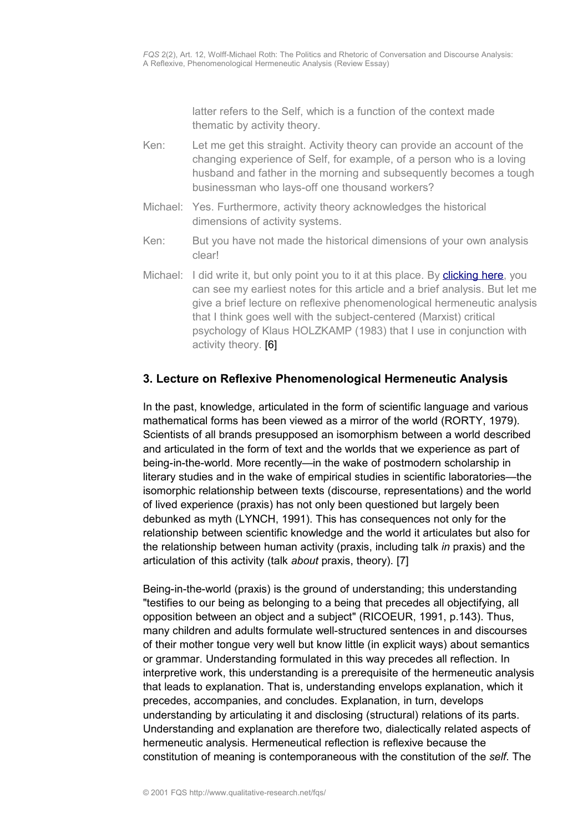latter refers to the Self, which is a function of the context made thematic by activity theory.

- Ken: Let me get this straight. Activity theory can provide an account of the changing experience of Self, for example, of a person who is a loving husband and father in the morning and subsequently becomes a tough businessman who lays-off one thousand workers?
- Michael: Yes. Furthermore, activity theory acknowledges the historical dimensions of activity systems.
- Ken: But you have not made the historical dimensions of your own analysis clear!
- Michael: I did write it, but only point you to it at this place. By **clicking here**, you can see my earliest notes for this article and a brief analysis. But let me give a brief lecture on reflexive phenomenological hermeneutic analysis that I think goes well with the subject-centered (Marxist) critical psychology of Klaus HOLZKAMP (1983) that I use in conjunction with activity theory. [6]

# <span id="page-5-0"></span>**3. Lecture on Reflexive Phenomenological Hermeneutic Analysis**

In the past, knowledge, articulated in the form of scientific language and various mathematical forms has been viewed as a mirror of the world (RORTY, 1979). Scientists of all brands presupposed an isomorphism between a world described and articulated in the form of text and the worlds that we experience as part of being-in-the-world. More recently—in the wake of postmodern scholarship in literary studies and in the wake of empirical studies in scientific laboratories—the isomorphic relationship between texts (discourse, representations) and the world of lived experience (praxis) has not only been questioned but largely been debunked as myth (LYNCH, 1991). This has consequences not only for the relationship between scientific knowledge and the world it articulates but also for the relationship between human activity (praxis, including talk *in* praxis) and the articulation of this activity (talk *about* praxis, theory). [7]

Being-in-the-world (praxis) is the ground of understanding; this understanding "testifies to our being as belonging to a being that precedes all objectifying, all opposition between an object and a subject" (RICOEUR, 1991, p.143). Thus, many children and adults formulate well-structured sentences in and discourses of their mother tongue very well but know little (in explicit ways) about semantics or grammar. Understanding formulated in this way precedes all reflection. In interpretive work, this understanding is a prerequisite of the hermeneutic analysis that leads to explanation. That is, understanding envelops explanation, which it precedes, accompanies, and concludes. Explanation, in turn, develops understanding by articulating it and disclosing (structural) relations of its parts. Understanding and explanation are therefore two, dialectically related aspects of hermeneutic analysis. Hermeneutical reflection is reflexive because the constitution of meaning is contemporaneous with the constitution of the *self*. The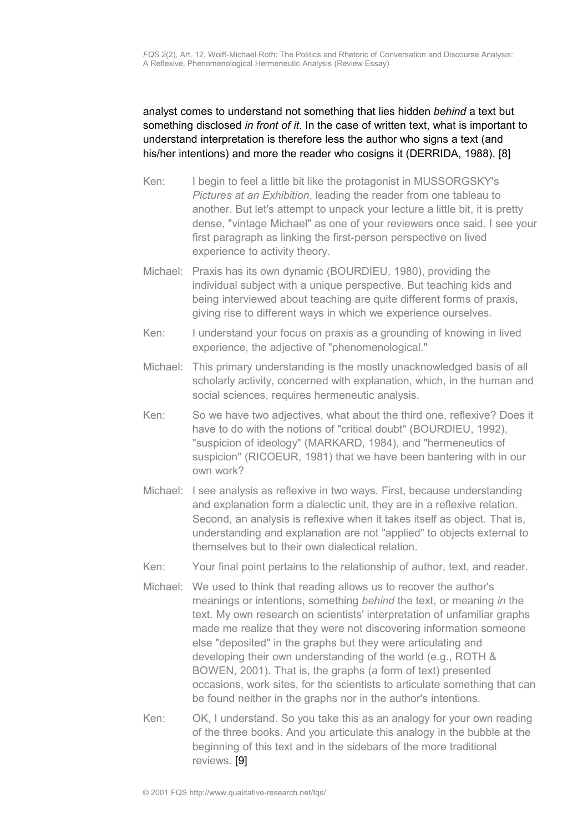## analyst comes to understand not something that lies hidden *behind* a text but something disclosed *in front of it*. In the case of written text, what is important to understand interpretation is therefore less the author who signs a text (and his/her intentions) and more the reader who cosigns it (DERRIDA, 1988). [8]

- Ken: I begin to feel a little bit like the protagonist in MUSSORGSKY's *Pictures at an Exhibition*, leading the reader from one tableau to another. But let's attempt to unpack your lecture a little bit, it is pretty dense, "vintage Michael" as one of your reviewers once said. I see your first paragraph as linking the first-person perspective on lived experience to activity theory.
- Michael: Praxis has its own dynamic (BOURDIEU, 1980), providing the individual subject with a unique perspective. But teaching kids and being interviewed about teaching are quite different forms of praxis, giving rise to different ways in which we experience ourselves.
- Ken: I understand your focus on praxis as a grounding of knowing in lived experience, the adjective of "phenomenological."
- Michael: This primary understanding is the mostly unacknowledged basis of all scholarly activity, concerned with explanation, which, in the human and social sciences, requires hermeneutic analysis.
- Ken: So we have two adjectives, what about the third one, reflexive? Does it have to do with the notions of "critical doubt" (BOURDIEU, 1992). "suspicion of ideology" (MARKARD, 1984), and "hermeneutics of suspicion" (RICOEUR, 1981) that we have been bantering with in our own work?
- Michael: I see analysis as reflexive in two ways. First, because understanding and explanation form a dialectic unit, they are in a reflexive relation. Second, an analysis is reflexive when it takes itself as object. That is, understanding and explanation are not "applied" to objects external to themselves but to their own dialectical relation.
- Ken: Your final point pertains to the relationship of author, text, and reader.
- Michael: We used to think that reading allows us to recover the author's meanings or intentions, something *behind* the text, or meaning *in* the text. My own research on scientists' interpretation of unfamiliar graphs made me realize that they were not discovering information someone else "deposited" in the graphs but they were articulating and developing their own understanding of the world (e.g., ROTH & BOWEN, 2001). That is, the graphs (a form of text) presented occasions, work sites, for the scientists to articulate something that can be found neither in the graphs nor in the author's intentions.
- Ken: OK, I understand. So you take this as an analogy for your own reading of the three books. And you articulate this analogy in the bubble at the beginning of this text and in the sidebars of the more traditional reviews. [9]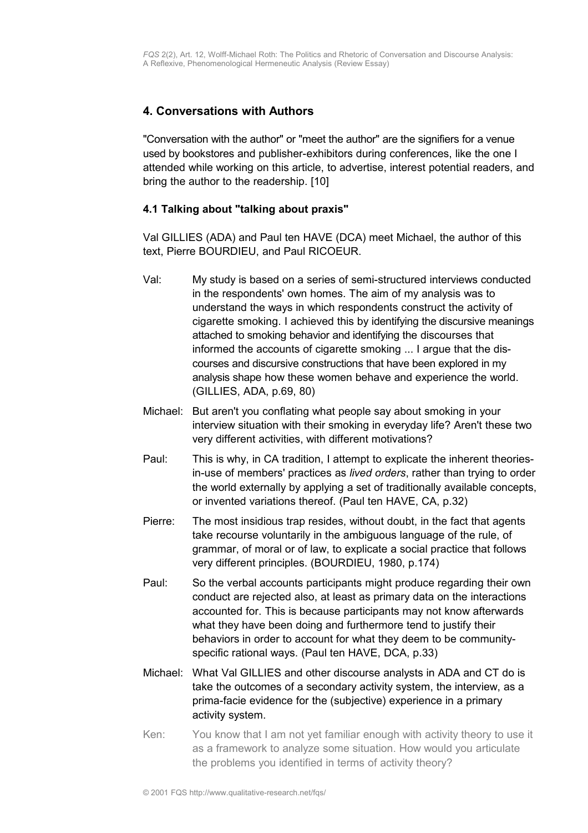# <span id="page-7-1"></span>**4. Conversations with Authors**

"Conversation with the author" or "meet the author" are the signifiers for a venue used by bookstores and publisher-exhibitors during conferences, like the one I attended while working on this article, to advertise, interest potential readers, and bring the author to the readership. [10]

## <span id="page-7-0"></span>**4.1 Talking about "talking about praxis"**

Val GILLIES (ADA) and Paul ten HAVE (DCA) meet Michael, the author of this text, Pierre BOURDIEU, and Paul RICOEUR.

- Val: My study is based on a series of semi-structured interviews conducted in the respondents' own homes. The aim of my analysis was to understand the ways in which respondents construct the activity of cigarette smoking. I achieved this by identifying the discursive meanings attached to smoking behavior and identifying the discourses that informed the accounts of cigarette smoking ... I argue that the discourses and discursive constructions that have been explored in my analysis shape how these women behave and experience the world. (GILLIES, ADA, p.69, 80)
- Michael: But aren't you conflating what people say about smoking in your interview situation with their smoking in everyday life? Aren't these two very different activities, with different motivations?
- Paul: This is why, in CA tradition, I attempt to explicate the inherent theoriesin-use of members' practices as *lived orders*, rather than trying to order the world externally by applying a set of traditionally available concepts, or invented variations thereof. (Paul ten HAVE, CA, p.32)
- Pierre: The most insidious trap resides, without doubt, in the fact that agents take recourse voluntarily in the ambiguous language of the rule, of grammar, of moral or of law, to explicate a social practice that follows very different principles. (BOURDIEU, 1980, p.174)
- Paul: So the verbal accounts participants might produce regarding their own conduct are rejected also, at least as primary data on the interactions accounted for. This is because participants may not know afterwards what they have been doing and furthermore tend to justify their behaviors in order to account for what they deem to be communityspecific rational ways. (Paul ten HAVE, DCA, p.33)
- Michael: What Val GILLIES and other discourse analysts in ADA and CT do is take the outcomes of a secondary activity system, the interview, as a prima-facie evidence for the (subjective) experience in a primary activity system.
- Ken: You know that I am not yet familiar enough with activity theory to use it as a framework to analyze some situation. How would you articulate the problems you identified in terms of activity theory?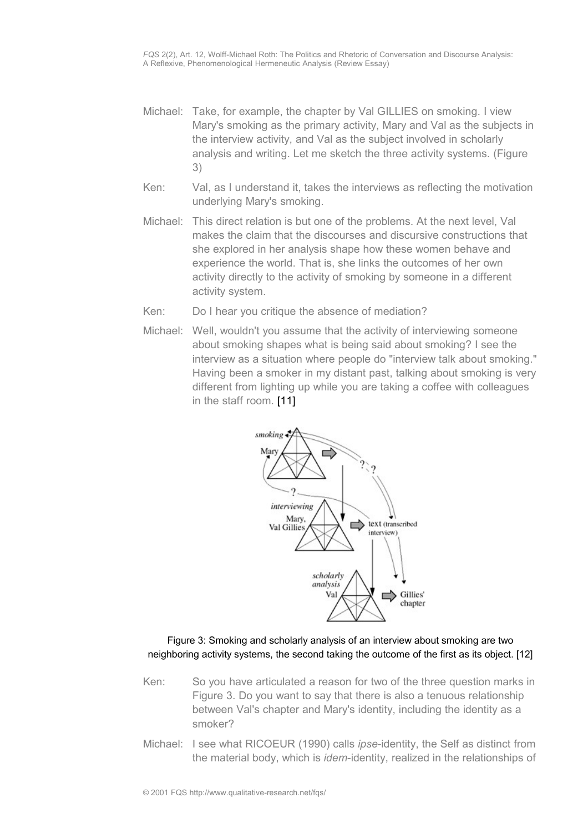- Michael: Take, for example, the chapter by Val GILLIES on smoking. I view Mary's smoking as the primary activity, Mary and Val as the subjects in the interview activity, and Val as the subject involved in scholarly analysis and writing. Let me sketch the three activity systems. (Figure 3)
- Ken: Val, as I understand it, takes the interviews as reflecting the motivation underlying Mary's smoking.
- Michael: This direct relation is but one of the problems. At the next level, Val makes the claim that the discourses and discursive constructions that she explored in her analysis shape how these women behave and experience the world. That is, she links the outcomes of her own activity directly to the activity of smoking by someone in a different activity system.
- Ken: Do I hear you critique the absence of mediation?
- Michael: Well, wouldn't you assume that the activity of interviewing someone about smoking shapes what is being said about smoking? I see the interview as a situation where people do "interview talk about smoking." Having been a smoker in my distant past, talking about smoking is very different from lighting up while you are taking a coffee with colleagues in the staff room. [11]



#### Figure 3: Smoking and scholarly analysis of an interview about smoking are two neighboring activity systems, the second taking the outcome of the first as its object. [12]

- Ken: So you have articulated a reason for two of the three question marks in Figure 3. Do you want to say that there is also a tenuous relationship between Val's chapter and Mary's identity, including the identity as a smoker?
- Michael: I see what RICOEUR (1990) calls *ipse*-identity, the Self as distinct from the material body, which is *idem*-identity, realized in the relationships of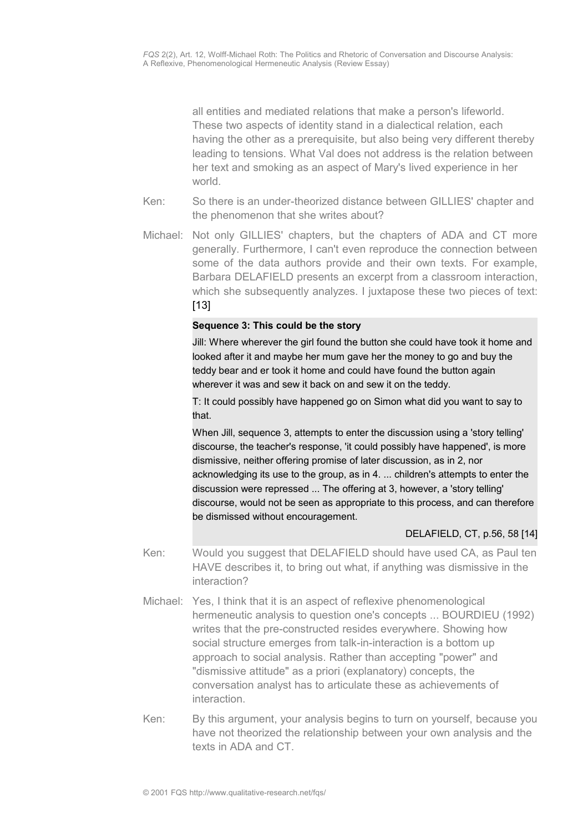all entities and mediated relations that make a person's lifeworld. These two aspects of identity stand in a dialectical relation, each having the other as a prerequisite, but also being very different thereby leading to tensions. What Val does not address is the relation between her text and smoking as an aspect of Mary's lived experience in her world.

- Ken: So there is an under-theorized distance between GILLIES' chapter and the phenomenon that she writes about?
- Michael: Not only GILLIES' chapters, but the chapters of ADA and CT more generally. Furthermore, I can't even reproduce the connection between some of the data authors provide and their own texts. For example, Barbara DELAFIELD presents an excerpt from a classroom interaction, which she subsequently analyzes. I juxtapose these two pieces of text: [13]

#### **Sequence 3: This could be the story**

Jill: Where wherever the girl found the button she could have took it home and looked after it and maybe her mum gave her the money to go and buy the teddy bear and er took it home and could have found the button again wherever it was and sew it back on and sew it on the teddy.

T: It could possibly have happened go on Simon what did you want to say to that.

When Jill, sequence 3, attempts to enter the discussion using a 'story telling' discourse, the teacher's response, 'it could possibly have happened', is more dismissive, neither offering promise of later discussion, as in 2, nor acknowledging its use to the group, as in 4. ... children's attempts to enter the discussion were repressed ... The offering at 3, however, a 'story telling' discourse, would not be seen as appropriate to this process, and can therefore be dismissed without encouragement.

#### DELAFIELD, CT, p.56, 58 [14]

- Ken: Would you suggest that DELAFIELD should have used CA, as Paul ten HAVE describes it, to bring out what, if anything was dismissive in the interaction?
- Michael: Yes, I think that it is an aspect of reflexive phenomenological hermeneutic analysis to question one's concepts ... BOURDIEU (1992) writes that the pre-constructed resides everywhere. Showing how social structure emerges from talk-in-interaction is a bottom up approach to social analysis. Rather than accepting "power" and "dismissive attitude" as a priori (explanatory) concepts, the conversation analyst has to articulate these as achievements of interaction.
- Ken: By this argument, your analysis begins to turn on yourself, because you have not theorized the relationship between your own analysis and the texts in ADA and CT.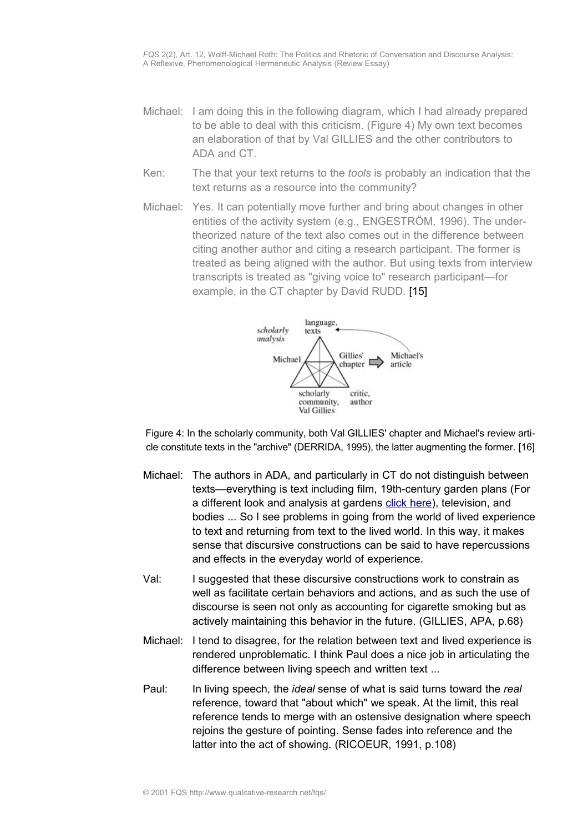- Michael: I am doing this in the following diagram, which I had already prepared to be able to deal with this criticism. (Figure 4) My own text becomes an elaboration of that by Val GILLIES and the other contributors to ADA and CT.
- Ken: The that your text returns to the *tools* is probably an indication that the text returns as a resource into the community?
- Michael: Yes. It can potentially move further and bring about changes in other entities of the activity system (e.g., ENGESTRÖM, 1996). The undertheorized nature of the text also comes out in the difference between citing another author and citing a research participant. The former is treated as being aligned with the author. But using texts from interview transcripts is treated as "giving voice to" research participant—for example, in the CT chapter by David RUDD. [15]



Figure 4: In the scholarly community, both Val GILLIES' chapter and Michael's review article constitute texts in the "archive" (DERRIDA, 1995), the latter augmenting the former. [16]

- Michael: The authors in ADA, and particularly in CT do not distinguish between texts—everything is text including film, 19th-century garden plans (For a different look and analysis at gardens [click here\)](#page-18-0), television, and bodies ... So I see problems in going from the world of lived experience to text and returning from text to the lived world. In this way, it makes sense that discursive constructions can be said to have repercussions and effects in the everyday world of experience.
- Val: I suggested that these discursive constructions work to constrain as well as facilitate certain behaviors and actions, and as such the use of discourse is seen not only as accounting for cigarette smoking but as actively maintaining this behavior in the future. (GILLIES, APA, p.68)
- Michael: I tend to disagree, for the relation between text and lived experience is rendered unproblematic. I think Paul does a nice job in articulating the difference between living speech and written text ...
- Paul: In living speech, the *ideal* sense of what is said turns toward the *real* reference, toward that "about which" we speak. At the limit, this real reference tends to merge with an ostensive designation where speech rejoins the gesture of pointing. Sense fades into reference and the latter into the act of showing. (RICOEUR, 1991, p.108)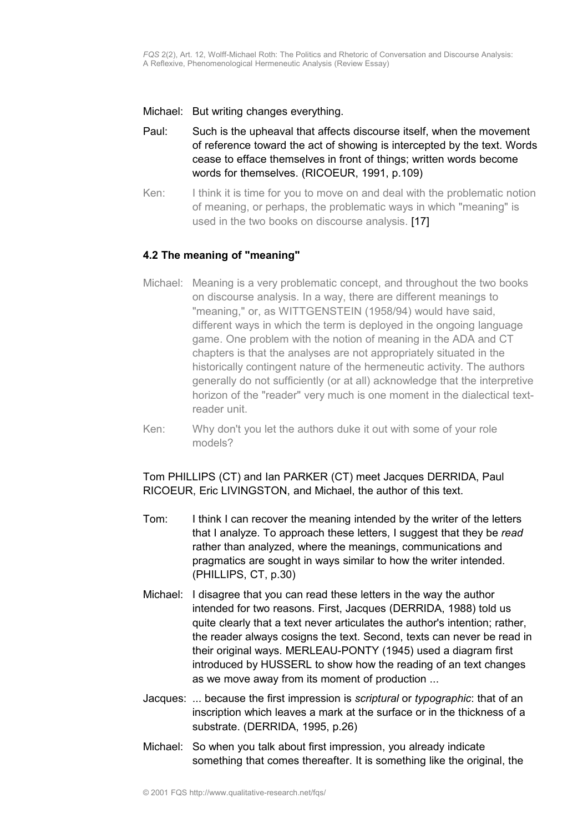#### Michael: But writing changes everything.

- Paul: Such is the upheaval that affects discourse itself, when the movement of reference toward the act of showing is intercepted by the text. Words cease to efface themselves in front of things; written words become words for themselves. (RICOEUR, 1991, p.109)
- Ken: I think it is time for you to move on and deal with the problematic notion of meaning, or perhaps, the problematic ways in which "meaning" is used in the two books on discourse analysis. [17]

# <span id="page-11-0"></span>**4.2 The meaning of "meaning"**

- Michael: Meaning is a very problematic concept, and throughout the two books on discourse analysis. In a way, there are different meanings to "meaning," or, as WITTGENSTEIN (1958/94) would have said, different ways in which the term is deployed in the ongoing language game. One problem with the notion of meaning in the ADA and CT chapters is that the analyses are not appropriately situated in the historically contingent nature of the hermeneutic activity. The authors generally do not sufficiently (or at all) acknowledge that the interpretive horizon of the "reader" very much is one moment in the dialectical textreader unit.
- Ken: Why don't you let the authors duke it out with some of your role models?

#### Tom PHILLIPS (CT) and Ian PARKER (CT) meet Jacques DERRIDA, Paul RICOEUR, Eric LIVINGSTON, and Michael, the author of this text.

- Tom: I think I can recover the meaning intended by the writer of the letters that I analyze. To approach these letters, I suggest that they be *read* rather than analyzed, where the meanings, communications and pragmatics are sought in ways similar to how the writer intended. (PHILLIPS, CT, p.30)
- Michael: I disagree that you can read these letters in the way the author intended for two reasons. First, Jacques (DERRIDA, 1988) told us quite clearly that a text never articulates the author's intention; rather, the reader always cosigns the text. Second, texts can never be read in their original ways. MERLEAU-PONTY (1945) used a diagram first introduced by HUSSERL to show how the reading of an text changes as we move away from its moment of production ...
- Jacques: ... because the first impression is *scriptural* or *typographic*: that of an inscription which leaves a mark at the surface or in the thickness of a substrate. (DERRIDA, 1995, p.26)
- Michael: So when you talk about first impression, you already indicate something that comes thereafter. It is something like the original, the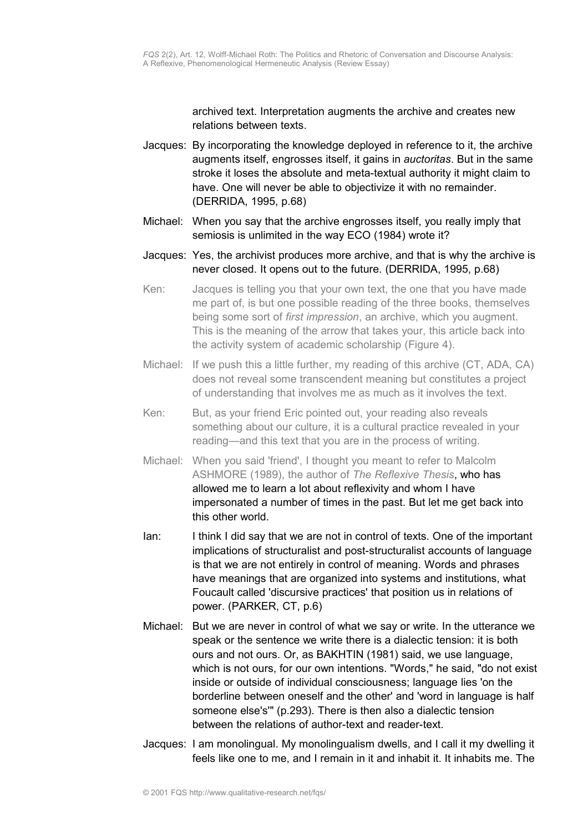archived text. Interpretation augments the archive and creates new relations between texts.

- Jacques: By incorporating the knowledge deployed in reference to it, the archive augments itself, engrosses itself, it gains in *auctoritas*. But in the same stroke it loses the absolute and meta-textual authority it might claim to have. One will never be able to objectivize it with no remainder. (DERRIDA, 1995, p.68)
- Michael: When you say that the archive engrosses itself, you really imply that semiosis is unlimited in the way ECO (1984) wrote it?
- Jacques: Yes, the archivist produces more archive, and that is why the archive is never closed. It opens out to the future. (DERRIDA, 1995, p.68)
- Ken: Jacques is telling you that your own text, the one that you have made me part of, is but one possible reading of the three books, themselves being some sort of *first impression*, an archive, which you augment. This is the meaning of the arrow that takes your, this article back into the activity system of academic scholarship (Figure 4).
- Michael: If we push this a little further, my reading of this archive (CT, ADA, CA) does not reveal some transcendent meaning but constitutes a project of understanding that involves me as much as it involves the text.
- Ken: But, as your friend Eric pointed out, your reading also reveals something about our culture, it is a cultural practice revealed in your reading—and this text that you are in the process of writing.
- Michael: When you said 'friend', I thought you meant to refer to Malcolm ASHMORE (1989), the author of *The Reflexive Thesis*, who has allowed me to learn a lot about reflexivity and whom I have impersonated a number of times in the past. But let me get back into this other world.
- Ian: I think I did say that we are not in control of texts. One of the important implications of structuralist and post-structuralist accounts of language is that we are not entirely in control of meaning. Words and phrases have meanings that are organized into systems and institutions, what Foucault called 'discursive practices' that position us in relations of power. (PARKER, CT, p.6)
- Michael: But we are never in control of what we say or write. In the utterance we speak or the sentence we write there is a dialectic tension: it is both ours and not ours. Or, as BAKHTIN (1981) said, we use language, which is not ours, for our own intentions. "Words," he said, "do not exist inside or outside of individual consciousness; language lies 'on the borderline between oneself and the other' and 'word in language is half someone else's'" (p.293). There is then also a dialectic tension between the relations of author-text and reader-text.
- Jacques: I am monolingual. My monolingualism dwells, and I call it my dwelling it feels like one to me, and I remain in it and inhabit it. It inhabits me. The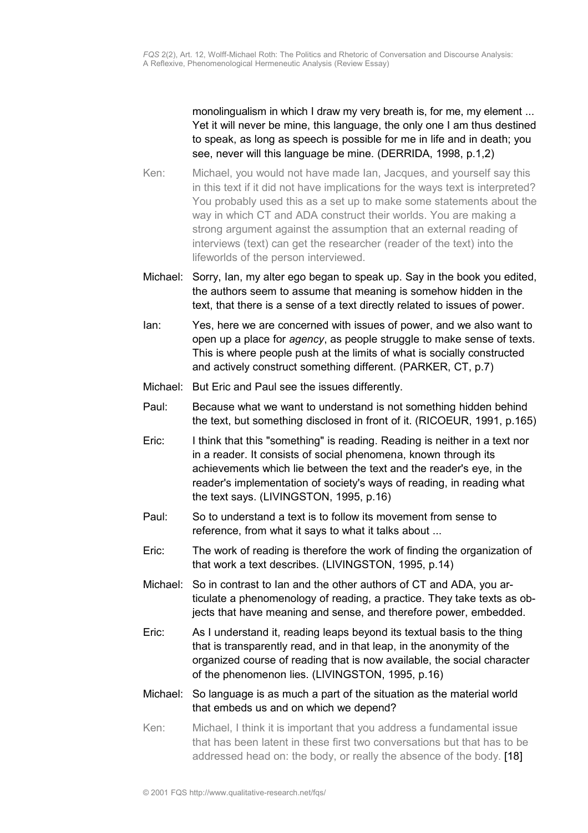monolingualism in which I draw my very breath is, for me, my element ... Yet it will never be mine, this language, the only one I am thus destined to speak, as long as speech is possible for me in life and in death; you see, never will this language be mine. (DERRIDA, 1998, p.1,2)

- Ken: Michael, you would not have made Ian, Jacques, and yourself say this in this text if it did not have implications for the ways text is interpreted? You probably used this as a set up to make some statements about the way in which CT and ADA construct their worlds. You are making a strong argument against the assumption that an external reading of interviews (text) can get the researcher (reader of the text) into the lifeworlds of the person interviewed.
- Michael: Sorry, Ian, my alter ego began to speak up. Say in the book you edited, the authors seem to assume that meaning is somehow hidden in the text, that there is a sense of a text directly related to issues of power.
- Ian: Yes, here we are concerned with issues of power, and we also want to open up a place for *agency*, as people struggle to make sense of texts. This is where people push at the limits of what is socially constructed and actively construct something different. (PARKER, CT, p.7)
- Michael: But Eric and Paul see the issues differently.
- Paul: Because what we want to understand is not something hidden behind the text, but something disclosed in front of it. (RICOEUR, 1991, p.165)
- Eric: I think that this "something" is reading. Reading is neither in a text nor in a reader. It consists of social phenomena, known through its achievements which lie between the text and the reader's eye, in the reader's implementation of society's ways of reading, in reading what the text says. (LIVINGSTON, 1995, p.16)
- Paul: So to understand a text is to follow its movement from sense to reference, from what it says to what it talks about ...
- Eric: The work of reading is therefore the work of finding the organization of that work a text describes. (LIVINGSTON, 1995, p.14)
- Michael: So in contrast to Ian and the other authors of CT and ADA, you articulate a phenomenology of reading, a practice. They take texts as objects that have meaning and sense, and therefore power, embedded.
- Eric: As I understand it, reading leaps beyond its textual basis to the thing that is transparently read, and in that leap, in the anonymity of the organized course of reading that is now available, the social character of the phenomenon lies. (LIVINGSTON, 1995, p.16)
- Michael: So language is as much a part of the situation as the material world that embeds us and on which we depend?
- Ken: Michael, I think it is important that you address a fundamental issue that has been latent in these first two conversations but that has to be addressed head on: the body, or really the absence of the body. [18]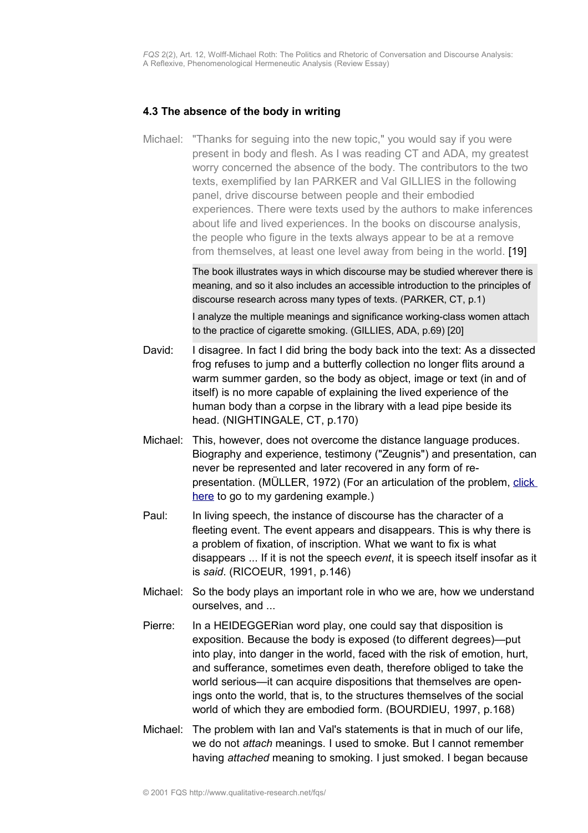#### <span id="page-14-0"></span>**4.3 The absence of the body in writing**

Michael: "Thanks for seguing into the new topic," you would say if you were present in body and flesh. As I was reading CT and ADA, my greatest worry concerned the absence of the body. The contributors to the two texts, exemplified by Ian PARKER and Val GILLIES in the following panel, drive discourse between people and their embodied experiences. There were texts used by the authors to make inferences about life and lived experiences. In the books on discourse analysis, the people who figure in the texts always appear to be at a remove from themselves, at least one level away from being in the world. [19]

> The book illustrates ways in which discourse may be studied wherever there is meaning, and so it also includes an accessible introduction to the principles of discourse research across many types of texts. (PARKER, CT, p.1) I analyze the multiple meanings and significance working-class women attach to the practice of cigarette smoking. (GILLIES, ADA, p.69) [20]

- David: I disagree. In fact I did bring the body back into the text: As a dissected frog refuses to jump and a butterfly collection no longer flits around a warm summer garden, so the body as object, image or text (in and of itself) is no more capable of explaining the lived experience of the human body than a corpse in the library with a lead pipe beside its head. (NIGHTINGALE, CT, p.170)
- Michael: This, however, does not overcome the distance language produces. Biography and experience, testimony ("Zeugnis") and presentation, can never be represented and later recovered in any form of representation. (MÜLLER, 1972) (For an articulation of the problem, [click](#page-18-0) [here](#page-18-0) to go to my gardening example.)
- Paul: In living speech, the instance of discourse has the character of a fleeting event. The event appears and disappears. This is why there is a problem of fixation, of inscription. What we want to fix is what disappears ... If it is not the speech *event*, it is speech itself insofar as it is *said*. (RICOEUR, 1991, p.146)
- Michael: So the body plays an important role in who we are, how we understand ourselves, and ...
- Pierre: In a HEIDEGGERian word play, one could say that disposition is exposition. Because the body is exposed (to different degrees)—put into play, into danger in the world, faced with the risk of emotion, hurt, and sufferance, sometimes even death, therefore obliged to take the world serious—it can acquire dispositions that themselves are openings onto the world, that is, to the structures themselves of the social world of which they are embodied form. (BOURDIEU, 1997, p.168)
- Michael: The problem with Ian and Val's statements is that in much of our life, we do not *attach* meanings. I used to smoke. But I cannot remember having *attached* meaning to smoking. I just smoked. I began because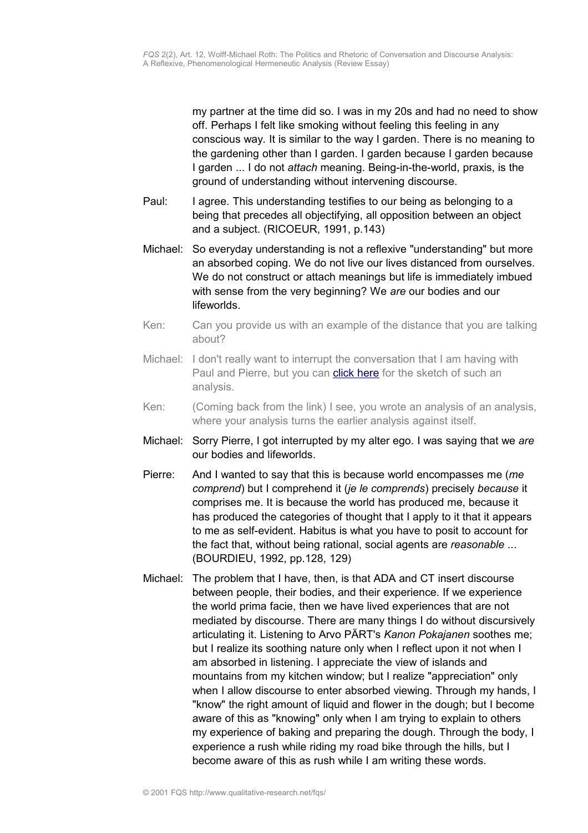my partner at the time did so. I was in my 20s and had no need to show off. Perhaps I felt like smoking without feeling this feeling in any conscious way. It is similar to the way I garden. There is no meaning to the gardening other than I garden. I garden because I garden because I garden ... I do not *attach* meaning. Being-in-the-world, praxis, is the ground of understanding without intervening discourse.

- Paul: I agree. This understanding testifies to our being as belonging to a being that precedes all objectifying, all opposition between an object and a subject. (RICOEUR, 1991, p.143)
- Michael: So everyday understanding is not a reflexive "understanding" but more an absorbed coping. We do not live our lives distanced from ourselves. We do not construct or attach meanings but life is immediately imbued with sense from the very beginning? We *are* our bodies and our lifeworlds.
- Ken: Can you provide us with an example of the distance that you are talking about?
- Michael: I don't really want to interrupt the conversation that I am having with Paul and Pierre, but you can **click here** for the sketch of such an analysis.
- Ken: (Coming back from the link) I see, you wrote an analysis of an analysis, where your analysis turns the earlier analysis against itself.
- Michael: Sorry Pierre, I got interrupted by my alter ego. I was saying that we *are* our bodies and lifeworlds.
- Pierre: And I wanted to say that this is because world encompasses me (*me comprend*) but I comprehend it (*je le comprends*) precisely *because* it comprises me. It is because the world has produced me, because it has produced the categories of thought that I apply to it that it appears to me as self-evident. Habitus is what you have to posit to account for the fact that, without being rational, social agents are *reasonable* ... (BOURDIEU, 1992, pp.128, 129)
- Michael: The problem that I have, then, is that ADA and CT insert discourse between people, their bodies, and their experience. If we experience the world prima facie, then we have lived experiences that are not mediated by discourse. There are many things I do without discursively articulating it. Listening to Arvo PÄRT's *Kanon Pokajanen* soothes me; but I realize its soothing nature only when I reflect upon it not when I am absorbed in listening. I appreciate the view of islands and mountains from my kitchen window; but I realize "appreciation" only when I allow discourse to enter absorbed viewing. Through my hands, I "know" the right amount of liquid and flower in the dough; but I become aware of this as "knowing" only when I am trying to explain to others my experience of baking and preparing the dough. Through the body, I experience a rush while riding my road bike through the hills, but I become aware of this as rush while I am writing these words.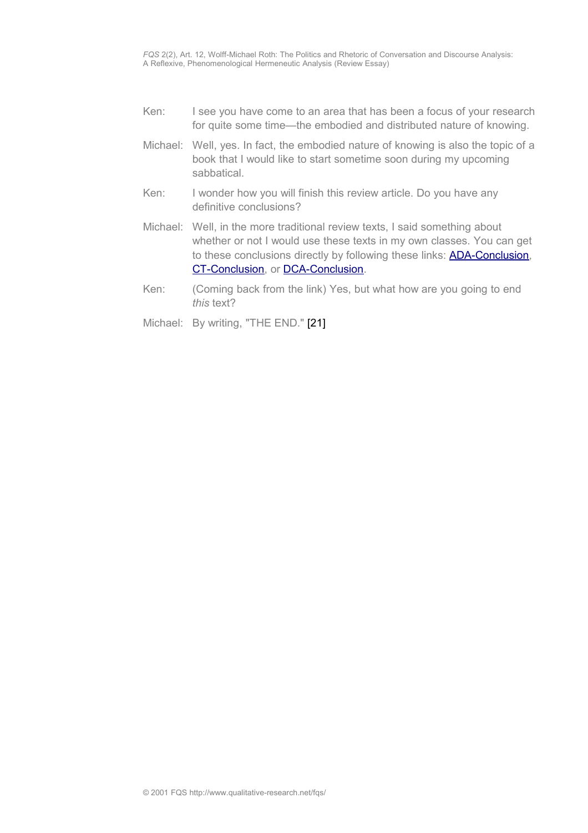- Ken: I see you have come to an area that has been a focus of your research for quite some time—the embodied and distributed nature of knowing.
- Michael: Well, yes. In fact, the embodied nature of knowing is also the topic of a book that I would like to start sometime soon during my upcoming sabbatical.
- Ken: I wonder how you will finish this review article. Do you have any definitive conclusions?
- Michael: Well, in the more traditional review texts, I said something about whether or not I would use these texts in my own classes. You can get to these conclusions directly by following these links: [ADA-Conclusion,](#page-28-0) [CT-Conclusion,](#page-22-0) or [DCA-Conclusion.](#page-31-0)
- Ken: (Coming back from the link) Yes, but what how are you going to end *this* text?

Michael: By writing, "THE END." [21]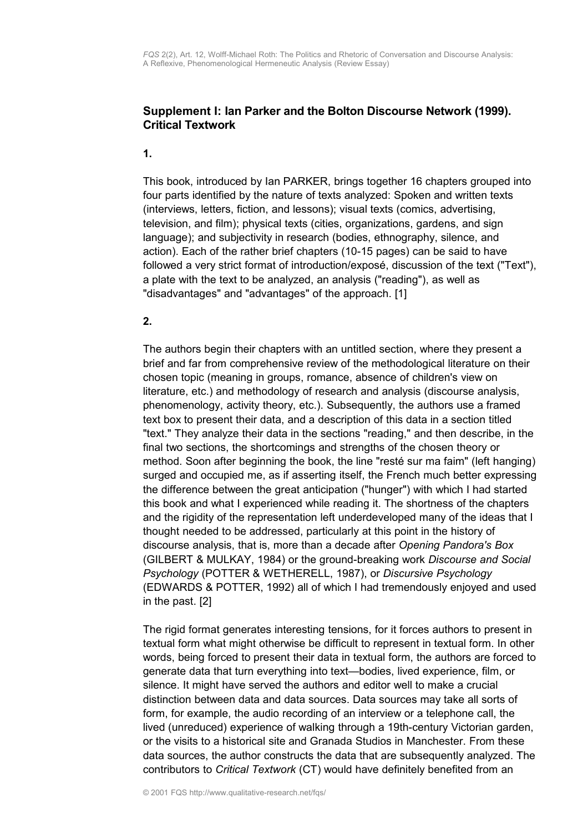# <span id="page-17-0"></span>**Supplement I: Ian Parker and the Bolton Discourse Network (1999). Critical Textwork**

#### **1.**

This book, introduced by Ian PARKER, brings together 16 chapters grouped into four parts identified by the nature of texts analyzed: Spoken and written texts (interviews, letters, fiction, and lessons); visual texts (comics, advertising, television, and film); physical texts (cities, organizations, gardens, and sign language); and subjectivity in research (bodies, ethnography, silence, and action). Each of the rather brief chapters (10-15 pages) can be said to have followed a very strict format of introduction/exposé, discussion of the text ("Text"), a plate with the text to be analyzed, an analysis ("reading"), as well as "disadvantages" and "advantages" of the approach. [1]

#### **2.**

The authors begin their chapters with an untitled section, where they present a brief and far from comprehensive review of the methodological literature on their chosen topic (meaning in groups, romance, absence of children's view on literature, etc.) and methodology of research and analysis (discourse analysis, phenomenology, activity theory, etc.). Subsequently, the authors use a framed text box to present their data, and a description of this data in a section titled "text." They analyze their data in the sections "reading," and then describe, in the final two sections, the shortcomings and strengths of the chosen theory or method. Soon after beginning the book, the line "resté sur ma faim" (left hanging) surged and occupied me, as if asserting itself, the French much better expressing the difference between the great anticipation ("hunger") with which I had started this book and what I experienced while reading it. The shortness of the chapters and the rigidity of the representation left underdeveloped many of the ideas that I thought needed to be addressed, particularly at this point in the history of discourse analysis, that is, more than a decade after *Opening Pandora's Box* (GILBERT & MULKAY, 1984) or the ground-breaking work *Discourse and Social Psychology* (POTTER & WETHERELL, 1987), or *Discursive Psychology* (EDWARDS & POTTER, 1992) all of which I had tremendously enjoyed and used in the past. [2]

The rigid format generates interesting tensions, for it forces authors to present in textual form what might otherwise be difficult to represent in textual form. In other words, being forced to present their data in textual form, the authors are forced to generate data that turn everything into text—bodies, lived experience, film, or silence. It might have served the authors and editor well to make a crucial distinction between data and data sources. Data sources may take all sorts of form, for example, the audio recording of an interview or a telephone call, the lived (unreduced) experience of walking through a 19th-century Victorian garden, or the visits to a historical site and Granada Studios in Manchester. From these data sources, the author constructs the data that are subsequently analyzed. The contributors to *Critical Textwork* (CT) would have definitely benefited from an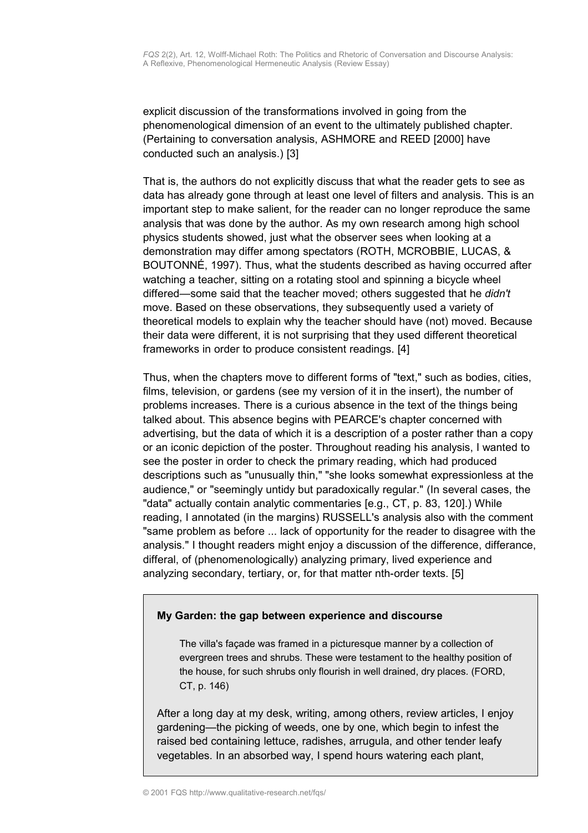explicit discussion of the transformations involved in going from the phenomenological dimension of an event to the ultimately published chapter. (Pertaining to conversation analysis, ASHMORE and REED [2000] have conducted such an analysis.) [3]

That is, the authors do not explicitly discuss that what the reader gets to see as data has already gone through at least one level of filters and analysis. This is an important step to make salient, for the reader can no longer reproduce the same analysis that was done by the author. As my own research among high school physics students showed, just what the observer sees when looking at a demonstration may differ among spectators (ROTH, MCROBBIE, LUCAS, & BOUTONNÉ, 1997). Thus, what the students described as having occurred after watching a teacher, sitting on a rotating stool and spinning a bicycle wheel differed—some said that the teacher moved; others suggested that he *didn't* move. Based on these observations, they subsequently used a variety of theoretical models to explain why the teacher should have (not) moved. Because their data were different, it is not surprising that they used different theoretical frameworks in order to produce consistent readings. [4]

Thus, when the chapters move to different forms of "text," such as bodies, cities, films, television, or gardens (see my version of it in the insert), the number of problems increases. There is a curious absence in the text of the things being talked about. This absence begins with PEARCE's chapter concerned with advertising, but the data of which it is a description of a poster rather than a copy or an iconic depiction of the poster. Throughout reading his analysis, I wanted to see the poster in order to check the primary reading, which had produced descriptions such as "unusually thin," "she looks somewhat expressionless at the audience," or "seemingly untidy but paradoxically regular." (In several cases, the "data" actually contain analytic commentaries [e.g., CT, p. 83, 120].) While reading, I annotated (in the margins) RUSSELL's analysis also with the comment "same problem as before ... lack of opportunity for the reader to disagree with the analysis." I thought readers might enjoy a discussion of the difference, differance, differal, of (phenomenologically) analyzing primary, lived experience and analyzing secondary, tertiary, or, for that matter nth-order texts. [5]

## <span id="page-18-0"></span>**My Garden: the gap between experience and discourse**

The villa's façade was framed in a picturesque manner by a collection of evergreen trees and shrubs. These were testament to the healthy position of the house, for such shrubs only flourish in well drained, dry places. (FORD, CT, p. 146)

After a long day at my desk, writing, among others, review articles, I enjoy gardening—the picking of weeds, one by one, which begin to infest the raised bed containing lettuce, radishes, arrugula, and other tender leafy vegetables. In an absorbed way, I spend hours watering each plant,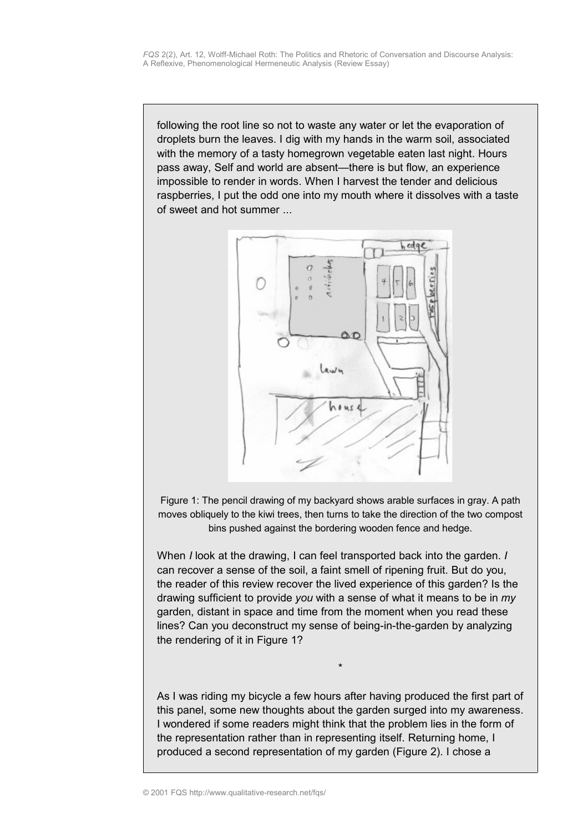following the root line so not to waste any water or let the evaporation of droplets burn the leaves. I dig with my hands in the warm soil, associated with the memory of a tasty homegrown vegetable eaten last night. Hours pass away, Self and world are absent—there is but flow, an experience impossible to render in words. When I harvest the tender and delicious raspberries, I put the odd one into my mouth where it dissolves with a taste of sweet and hot summer ...



Figure 1: The pencil drawing of my backyard shows arable surfaces in gray. A path moves obliquely to the kiwi trees, then turns to take the direction of the two compost bins pushed against the bordering wooden fence and hedge.

When *I* look at the drawing, I can feel transported back into the garden. *I* can recover a sense of the soil, a faint smell of ripening fruit. But do you, the reader of this review recover the lived experience of this garden? Is the drawing sufficient to provide *you* with a sense of what it means to be in *my* garden, distant in space and time from the moment when you read these lines? Can you deconstruct my sense of being-in-the-garden by analyzing the rendering of it in Figure 1?

As I was riding my bicycle a few hours after having produced the first part of this panel, some new thoughts about the garden surged into my awareness. I wondered if some readers might think that the problem lies in the form of the representation rather than in representing itself. Returning home, I produced a second representation of my garden (Figure 2). I chose a

\*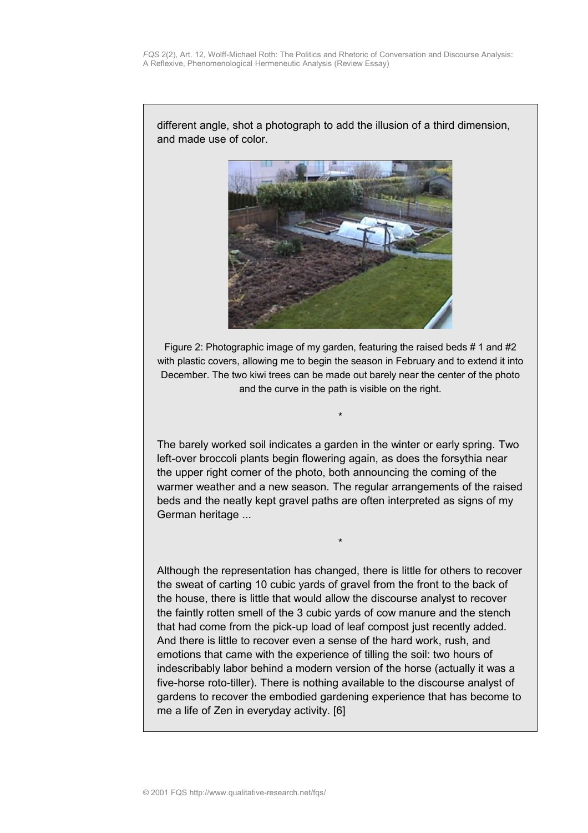different angle, shot a photograph to add the illusion of a third dimension, and made use of color.



Figure 2: Photographic image of my garden, featuring the raised beds # 1 and #2 with plastic covers, allowing me to begin the season in February and to extend it into December. The two kiwi trees can be made out barely near the center of the photo and the curve in the path is visible on the right.

\*

The barely worked soil indicates a garden in the winter or early spring. Two left-over broccoli plants begin flowering again, as does the forsythia near the upper right corner of the photo, both announcing the coming of the warmer weather and a new season. The regular arrangements of the raised beds and the neatly kept gravel paths are often interpreted as signs of my German heritage ...

\*

Although the representation has changed, there is little for others to recover the sweat of carting 10 cubic yards of gravel from the front to the back of the house, there is little that would allow the discourse analyst to recover the faintly rotten smell of the 3 cubic yards of cow manure and the stench that had come from the pick-up load of leaf compost just recently added. And there is little to recover even a sense of the hard work, rush, and emotions that came with the experience of tilling the soil: two hours of indescribably labor behind a modern version of the horse (actually it was a five-horse roto-tiller). There is nothing available to the discourse analyst of gardens to recover the embodied gardening experience that has become to me a life of Zen in everyday activity. [6]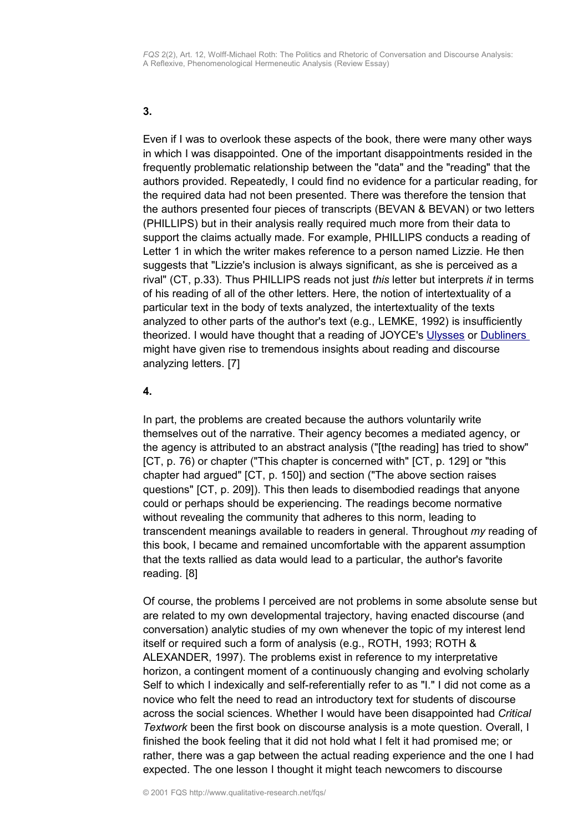#### **3.**

Even if I was to overlook these aspects of the book, there were many other ways in which I was disappointed. One of the important disappointments resided in the frequently problematic relationship between the "data" and the "reading" that the authors provided. Repeatedly, I could find no evidence for a particular reading, for the required data had not been presented. There was therefore the tension that the authors presented four pieces of transcripts (BEVAN & BEVAN) or two letters (PHILLIPS) but in their analysis really required much more from their data to support the claims actually made. For example, PHILLIPS conducts a reading of Letter 1 in which the writer makes reference to a person named Lizzie. He then suggests that "Lizzie's inclusion is always significant, as she is perceived as a rival" (CT, p.33). Thus PHILLIPS reads not just *this* letter but interprets *it* in terms of his reading of all of the other letters. Here, the notion of intertextuality of a particular text in the body of texts analyzed, the intertextuality of the texts analyzed to other parts of the author's text (e.g., LEMKE, 1992) is insufficiently theorized. I would have thought that a reading of JOYCE's [Ulysses](http://instruct.uwo.ca/english/455f/) or [Dubliners](http://www.themodernword.com/joyce/paper_valente.html) might have given rise to tremendous insights about reading and discourse analyzing letters. [7]

#### **4.**

In part, the problems are created because the authors voluntarily write themselves out of the narrative. Their agency becomes a mediated agency, or the agency is attributed to an abstract analysis ("[the reading] has tried to show" [CT, p. 76) or chapter ("This chapter is concerned with" [CT, p. 129] or "this chapter had argued" [CT, p. 150]) and section ("The above section raises questions" [CT, p. 209]). This then leads to disembodied readings that anyone could or perhaps should be experiencing. The readings become normative without revealing the community that adheres to this norm, leading to transcendent meanings available to readers in general. Throughout *my* reading of this book, I became and remained uncomfortable with the apparent assumption that the texts rallied as data would lead to a particular, the author's favorite reading. [8]

Of course, the problems I perceived are not problems in some absolute sense but are related to my own developmental trajectory, having enacted discourse (and conversation) analytic studies of my own whenever the topic of my interest lend itself or required such a form of analysis (e.g., ROTH, 1993; ROTH & ALEXANDER, 1997). The problems exist in reference to my interpretative horizon, a contingent moment of a continuously changing and evolving scholarly Self to which I indexically and self-referentially refer to as "I." I did not come as a novice who felt the need to read an introductory text for students of discourse across the social sciences. Whether I would have been disappointed had *Critical Textwork* been the first book on discourse analysis is a mote question. Overall, I finished the book feeling that it did not hold what I felt it had promised me; or rather, there was a gap between the actual reading experience and the one I had expected. The one lesson I thought it might teach newcomers to discourse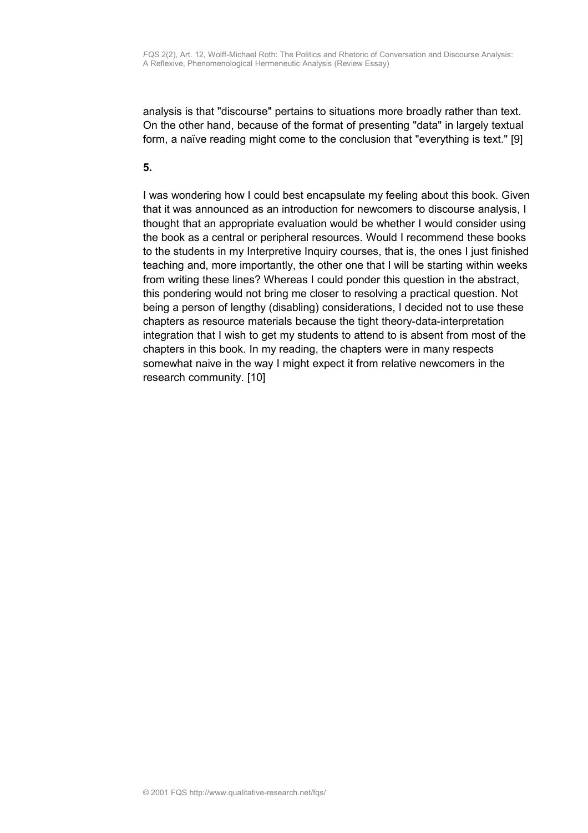analysis is that "discourse" pertains to situations more broadly rather than text. On the other hand, because of the format of presenting "data" in largely textual form, a naïve reading might come to the conclusion that "everything is text." [9]

#### **5.**

<span id="page-22-0"></span>I was wondering how I could best encapsulate my feeling about this book. Given that it was announced as an introduction for newcomers to discourse analysis, I thought that an appropriate evaluation would be whether I would consider using the book as a central or peripheral resources. Would I recommend these books to the students in my Interpretive Inquiry courses, that is, the ones I just finished teaching and, more importantly, the other one that I will be starting within weeks from writing these lines? Whereas I could ponder this question in the abstract, this pondering would not bring me closer to resolving a practical question. Not being a person of lengthy (disabling) considerations, I decided not to use these chapters as resource materials because the tight theory-data-interpretation integration that I wish to get my students to attend to is absent from most of the chapters in this book. In my reading, the chapters were in many respects somewhat naive in the way I might expect it from relative newcomers in the research community. [10]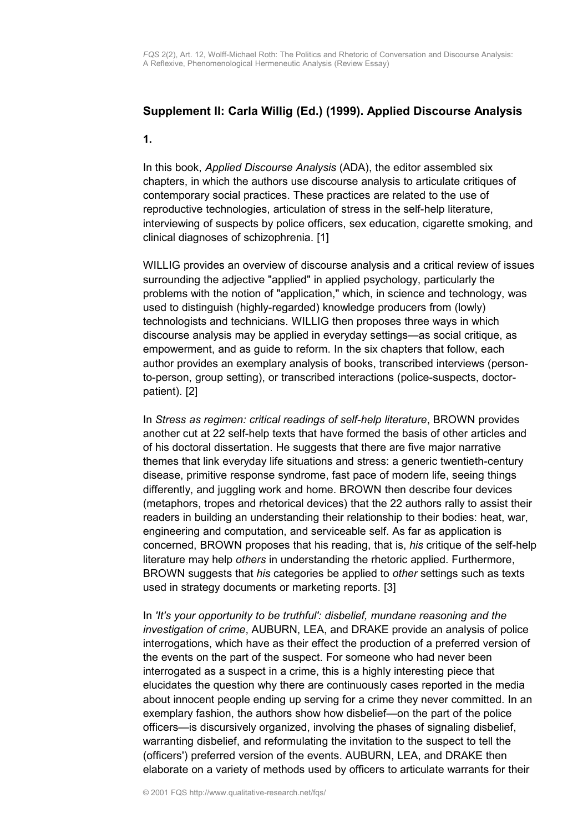## <span id="page-23-0"></span>**Supplement II: Carla Willig (Ed.) (1999). Applied Discourse Analysis**

**1.**

In this book, *Applied Discourse Analysis* (ADA), the editor assembled six chapters, in which the authors use discourse analysis to articulate critiques of contemporary social practices. These practices are related to the use of reproductive technologies, articulation of stress in the self-help literature, interviewing of suspects by police officers, sex education, cigarette smoking, and clinical diagnoses of schizophrenia. [1]

WILLIG provides an overview of discourse analysis and a critical review of issues surrounding the adjective "applied" in applied psychology, particularly the problems with the notion of "application," which, in science and technology, was used to distinguish (highly-regarded) knowledge producers from (lowly) technologists and technicians. WILLIG then proposes three ways in which discourse analysis may be applied in everyday settings—as social critique, as empowerment, and as guide to reform. In the six chapters that follow, each author provides an exemplary analysis of books, transcribed interviews (personto-person, group setting), or transcribed interactions (police-suspects, doctorpatient). [2]

In *Stress as regimen: critical readings of self-help literature*, BROWN provides another cut at 22 self-help texts that have formed the basis of other articles and of his doctoral dissertation. He suggests that there are five major narrative themes that link everyday life situations and stress: a generic twentieth-century disease, primitive response syndrome, fast pace of modern life, seeing things differently, and juggling work and home. BROWN then describe four devices (metaphors, tropes and rhetorical devices) that the 22 authors rally to assist their readers in building an understanding their relationship to their bodies: heat, war, engineering and computation, and serviceable self. As far as application is concerned, BROWN proposes that his reading, that is, *his* critique of the self-help literature may help *others* in understanding the rhetoric applied. Furthermore, BROWN suggests that *his* categories be applied to *other* settings such as texts used in strategy documents or marketing reports. [3]

In *'It's your opportunity to be truthful': disbelief, mundane reasoning and the investigation of crime*, AUBURN, LEA, and DRAKE provide an analysis of police interrogations, which have as their effect the production of a preferred version of the events on the part of the suspect. For someone who had never been interrogated as a suspect in a crime, this is a highly interesting piece that elucidates the question why there are continuously cases reported in the media about innocent people ending up serving for a crime they never committed. In an exemplary fashion, the authors show how disbelief—on the part of the police officers—is discursively organized, involving the phases of signaling disbelief, warranting disbelief, and reformulating the invitation to the suspect to tell the (officers') preferred version of the events. AUBURN, LEA, and DRAKE then elaborate on a variety of methods used by officers to articulate warrants for their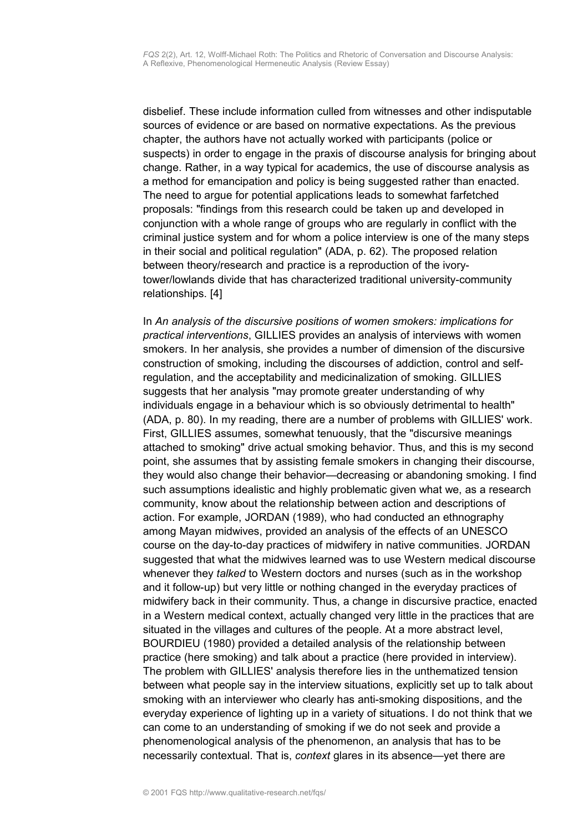disbelief. These include information culled from witnesses and other indisputable sources of evidence or are based on normative expectations. As the previous chapter, the authors have not actually worked with participants (police or suspects) in order to engage in the praxis of discourse analysis for bringing about change. Rather, in a way typical for academics, the use of discourse analysis as a method for emancipation and policy is being suggested rather than enacted. The need to argue for potential applications leads to somewhat farfetched proposals: "findings from this research could be taken up and developed in conjunction with a whole range of groups who are regularly in conflict with the criminal justice system and for whom a police interview is one of the many steps in their social and political regulation" (ADA, p. 62). The proposed relation between theory/research and practice is a reproduction of the ivorytower/lowlands divide that has characterized traditional university-community relationships. [4]

In *An analysis of the discursive positions of women smokers: implications for practical interventions*, GILLIES provides an analysis of interviews with women smokers. In her analysis, she provides a number of dimension of the discursive construction of smoking, including the discourses of addiction, control and selfregulation, and the acceptability and medicinalization of smoking. GILLIES suggests that her analysis "may promote greater understanding of why individuals engage in a behaviour which is so obviously detrimental to health" (ADA, p. 80). In my reading, there are a number of problems with GILLIES' work. First, GILLIES assumes, somewhat tenuously, that the "discursive meanings attached to smoking" drive actual smoking behavior. Thus, and this is my second point, she assumes that by assisting female smokers in changing their discourse, they would also change their behavior—decreasing or abandoning smoking. I find such assumptions idealistic and highly problematic given what we, as a research community, know about the relationship between action and descriptions of action. For example, JORDAN (1989), who had conducted an ethnography among Mayan midwives, provided an analysis of the effects of an UNESCO course on the day-to-day practices of midwifery in native communities. JORDAN suggested that what the midwives learned was to use Western medical discourse whenever they *talked* to Western doctors and nurses (such as in the workshop and it follow-up) but very little or nothing changed in the everyday practices of midwifery back in their community. Thus, a change in discursive practice, enacted in a Western medical context, actually changed very little in the practices that are situated in the villages and cultures of the people. At a more abstract level, BOURDIEU (1980) provided a detailed analysis of the relationship between practice (here smoking) and talk about a practice (here provided in interview). The problem with GILLIES' analysis therefore lies in the unthematized tension between what people say in the interview situations, explicitly set up to talk about smoking with an interviewer who clearly has anti-smoking dispositions, and the everyday experience of lighting up in a variety of situations. I do not think that we can come to an understanding of smoking if we do not seek and provide a phenomenological analysis of the phenomenon, an analysis that has to be necessarily contextual. That is, *context* glares in its absence—yet there are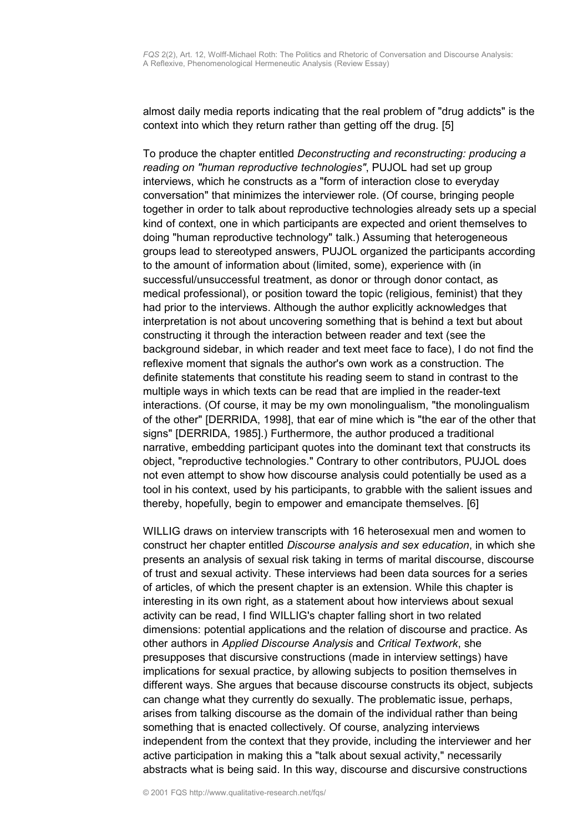almost daily media reports indicating that the real problem of "drug addicts" is the context into which they return rather than getting off the drug. [5]

To produce the chapter entitled *Deconstructing and reconstructing: producing a reading on "human reproductive technologies"*, PUJOL had set up group interviews, which he constructs as a "form of interaction close to everyday conversation" that minimizes the interviewer role. (Of course, bringing people together in order to talk about reproductive technologies already sets up a special kind of context, one in which participants are expected and orient themselves to doing "human reproductive technology" talk.) Assuming that heterogeneous groups lead to stereotyped answers, PUJOL organized the participants according to the amount of information about (limited, some), experience with (in successful/unsuccessful treatment, as donor or through donor contact, as medical professional), or position toward the topic (religious, feminist) that they had prior to the interviews. Although the author explicitly acknowledges that interpretation is not about uncovering something that is behind a text but about constructing it through the interaction between reader and text (see the background sidebar, in which reader and text meet face to face), I do not find the reflexive moment that signals the author's own work as a construction. The definite statements that constitute his reading seem to stand in contrast to the multiple ways in which texts can be read that are implied in the reader-text interactions. (Of course, it may be my own monolingualism, "the monolingualism of the other" [DERRIDA, 1998], that ear of mine which is "the ear of the other that signs" [DERRIDA, 1985].) Furthermore, the author produced a traditional narrative, embedding participant quotes into the dominant text that constructs its object, "reproductive technologies." Contrary to other contributors, PUJOL does not even attempt to show how discourse analysis could potentially be used as a tool in his context, used by his participants, to grabble with the salient issues and thereby, hopefully, begin to empower and emancipate themselves. [6]

WILLIG draws on interview transcripts with 16 heterosexual men and women to construct her chapter entitled *Discourse analysis and sex education*, in which she presents an analysis of sexual risk taking in terms of marital discourse, discourse of trust and sexual activity. These interviews had been data sources for a series of articles, of which the present chapter is an extension. While this chapter is interesting in its own right, as a statement about how interviews about sexual activity can be read, I find WILLIG's chapter falling short in two related dimensions: potential applications and the relation of discourse and practice. As other authors in *Applied Discourse Analysis* and *Critical Textwork*, she presupposes that discursive constructions (made in interview settings) have implications for sexual practice, by allowing subjects to position themselves in different ways. She argues that because discourse constructs its object, subjects can change what they currently do sexually. The problematic issue, perhaps, arises from talking discourse as the domain of the individual rather than being something that is enacted collectively. Of course, analyzing interviews independent from the context that they provide, including the interviewer and her active participation in making this a "talk about sexual activity," necessarily abstracts what is being said. In this way, discourse and discursive constructions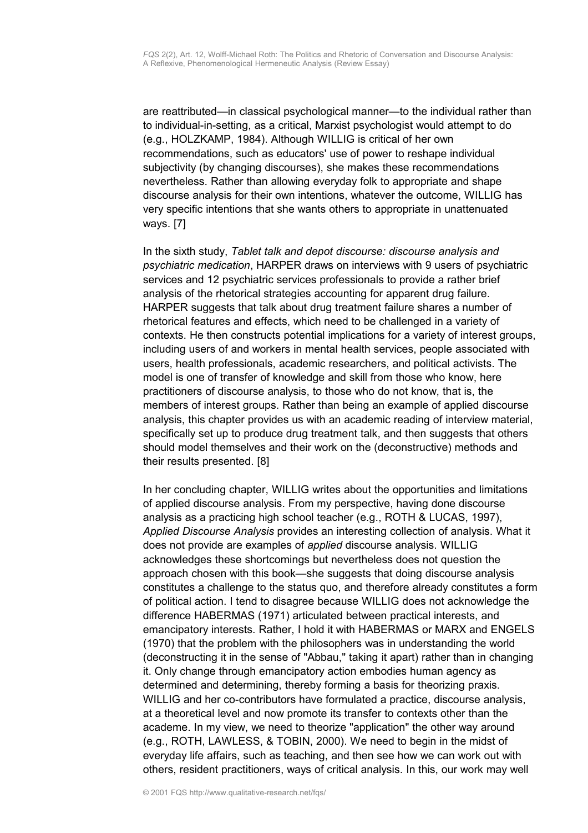are reattributed—in classical psychological manner—to the individual rather than to individual-in-setting, as a critical, Marxist psychologist would attempt to do (e.g., HOLZKAMP, 1984). Although WILLIG is critical of her own recommendations, such as educators' use of power to reshape individual subjectivity (by changing discourses), she makes these recommendations nevertheless. Rather than allowing everyday folk to appropriate and shape discourse analysis for their own intentions, whatever the outcome, WILLIG has very specific intentions that she wants others to appropriate in unattenuated ways. [7]

In the sixth study, *Tablet talk and depot discourse: discourse analysis and psychiatric medication*, HARPER draws on interviews with 9 users of psychiatric services and 12 psychiatric services professionals to provide a rather brief analysis of the rhetorical strategies accounting for apparent drug failure. HARPER suggests that talk about drug treatment failure shares a number of rhetorical features and effects, which need to be challenged in a variety of contexts. He then constructs potential implications for a variety of interest groups, including users of and workers in mental health services, people associated with users, health professionals, academic researchers, and political activists. The model is one of transfer of knowledge and skill from those who know, here practitioners of discourse analysis, to those who do not know, that is, the members of interest groups. Rather than being an example of applied discourse analysis, this chapter provides us with an academic reading of interview material, specifically set up to produce drug treatment talk, and then suggests that others should model themselves and their work on the (deconstructive) methods and their results presented. [8]

In her concluding chapter, WILLIG writes about the opportunities and limitations of applied discourse analysis. From my perspective, having done discourse analysis as a practicing high school teacher (e.g., ROTH & LUCAS, 1997), *Applied Discourse Analysis* provides an interesting collection of analysis. What it does not provide are examples of *applied* discourse analysis. WILLIG acknowledges these shortcomings but nevertheless does not question the approach chosen with this book—she suggests that doing discourse analysis constitutes a challenge to the status quo, and therefore already constitutes a form of political action. I tend to disagree because WILLIG does not acknowledge the difference HABERMAS (1971) articulated between practical interests, and emancipatory interests. Rather, I hold it with HABERMAS or MARX and ENGELS (1970) that the problem with the philosophers was in understanding the world (deconstructing it in the sense of "Abbau," taking it apart) rather than in changing it. Only change through emancipatory action embodies human agency as determined and determining, thereby forming a basis for theorizing praxis. WILLIG and her co-contributors have formulated a practice, discourse analysis, at a theoretical level and now promote its transfer to contexts other than the academe. In my view, we need to theorize "application" the other way around (e.g., ROTH, LAWLESS, & TOBIN, 2000). We need to begin in the midst of everyday life affairs, such as teaching, and then see how we can work out with others, resident practitioners, ways of critical analysis. In this, our work may well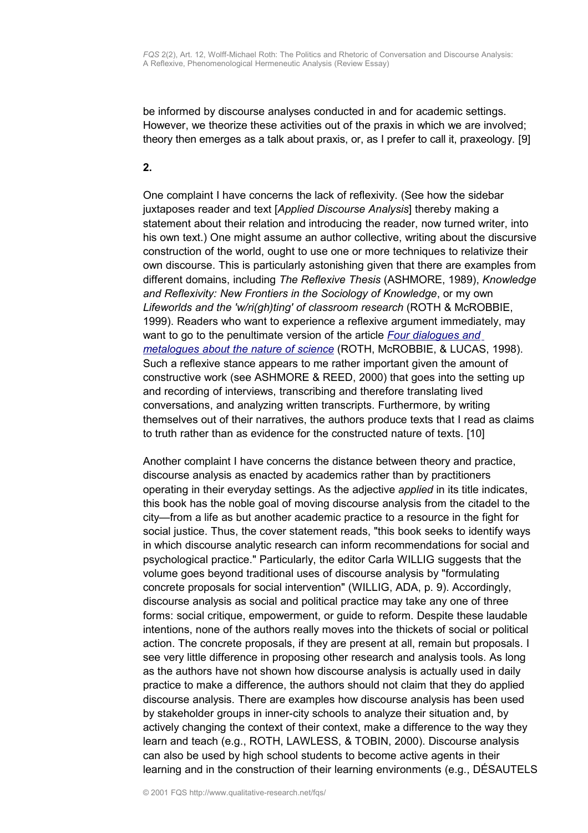be informed by discourse analyses conducted in and for academic settings. However, we theorize these activities out of the praxis in which we are involved; theory then emerges as a talk about praxis, or, as I prefer to call it, praxeology. [9]

#### **2.**

One complaint I have concerns the lack of reflexivity. (See how the sidebar juxtaposes reader and text [*Applied Discourse Analysis*] thereby making a statement about their relation and introducing the reader, now turned writer, into his own text.) One might assume an author collective, writing about the discursive construction of the world, ought to use one or more techniques to relativize their own discourse. This is particularly astonishing given that there are examples from different domains, including *The Reflexive Thesis* (ASHMORE, 1989), *Knowledge and Reflexivity: New Frontiers in the Sociology of Knowledge*, or my own *Lifeworlds and the 'w/ri(gh)ting' of classroom research* (ROTH & McROBBIE, 1999). Readers who want to experience a reflexive argument immediately, may want to go to the penultimate version of the article *[Four dialogues and](http://www.educ.uvic.ca/faculty/mroth/teaching/591EDB/Dialogue.pdf) [metalogues about the nature of science](http://www.educ.uvic.ca/faculty/mroth/teaching/591EDB/Dialogue.pdf)* (ROTH, McROBBIE, & LUCAS, 1998). Such a reflexive stance appears to me rather important given the amount of constructive work (see ASHMORE & REED, 2000) that goes into the setting up and recording of interviews, transcribing and therefore translating lived conversations, and analyzing written transcripts. Furthermore, by writing themselves out of their narratives, the authors produce texts that I read as claims to truth rather than as evidence for the constructed nature of texts. [10]

Another complaint I have concerns the distance between theory and practice, discourse analysis as enacted by academics rather than by practitioners operating in their everyday settings. As the adjective *applied* in its title indicates, this book has the noble goal of moving discourse analysis from the citadel to the city—from a life as but another academic practice to a resource in the fight for social justice. Thus, the cover statement reads, "this book seeks to identify ways in which discourse analytic research can inform recommendations for social and psychological practice." Particularly, the editor Carla WILLIG suggests that the volume goes beyond traditional uses of discourse analysis by "formulating concrete proposals for social intervention" (WILLIG, ADA, p. 9). Accordingly, discourse analysis as social and political practice may take any one of three forms: social critique, empowerment, or guide to reform. Despite these laudable intentions, none of the authors really moves into the thickets of social or political action. The concrete proposals, if they are present at all, remain but proposals. I see very little difference in proposing other research and analysis tools. As long as the authors have not shown how discourse analysis is actually used in daily practice to make a difference, the authors should not claim that they do applied discourse analysis. There are examples how discourse analysis has been used by stakeholder groups in inner-city schools to analyze their situation and, by actively changing the context of their context, make a difference to the way they learn and teach (e.g., ROTH, LAWLESS, & TOBIN, 2000). Discourse analysis can also be used by high school students to become active agents in their learning and in the construction of their learning environments (e.g., DÉSAUTELS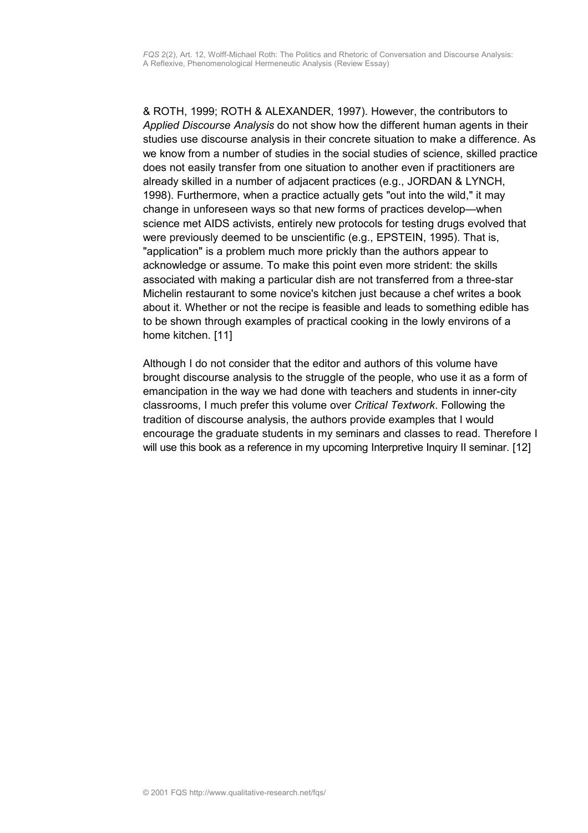& ROTH, 1999; ROTH & ALEXANDER, 1997). However, the contributors to *Applied Discourse Analysis* do not show how the different human agents in their studies use discourse analysis in their concrete situation to make a difference. As we know from a number of studies in the social studies of science, skilled practice does not easily transfer from one situation to another even if practitioners are already skilled in a number of adjacent practices (e.g., JORDAN & LYNCH, 1998). Furthermore, when a practice actually gets "out into the wild," it may change in unforeseen ways so that new forms of practices develop—when science met AIDS activists, entirely new protocols for testing drugs evolved that were previously deemed to be unscientific (e.g., EPSTEIN, 1995). That is, "application" is a problem much more prickly than the authors appear to acknowledge or assume. To make this point even more strident: the skills associated with making a particular dish are not transferred from a three-star Michelin restaurant to some novice's kitchen just because a chef writes a book about it. Whether or not the recipe is feasible and leads to something edible has to be shown through examples of practical cooking in the lowly environs of a home kitchen. [11]

<span id="page-28-0"></span>Although I do not consider that the editor and authors of this volume have brought discourse analysis to the struggle of the people, who use it as a form of emancipation in the way we had done with teachers and students in inner-city classrooms, I much prefer this volume over *Critical Textwork*. Following the tradition of discourse analysis, the authors provide examples that I would encourage the graduate students in my seminars and classes to read. Therefore I will use this book as a reference in my upcoming Interpretive Inquiry II seminar. [12]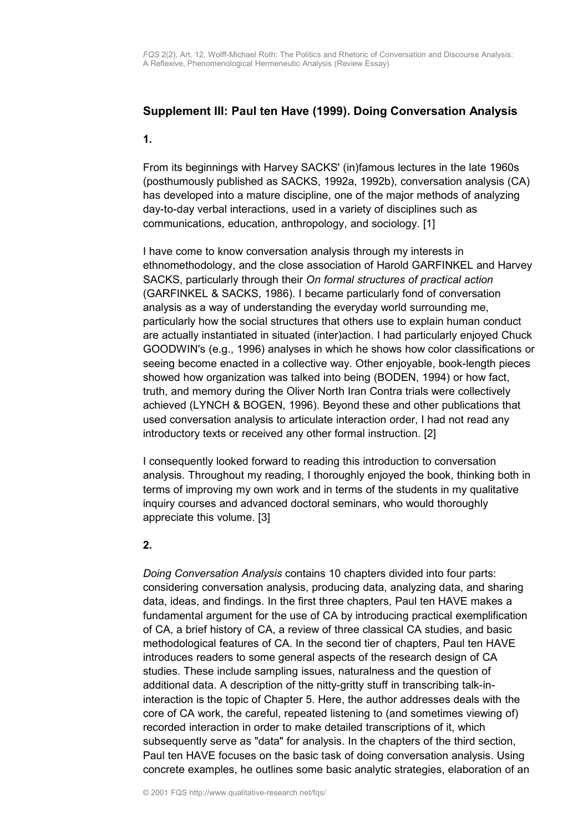## <span id="page-29-0"></span>**Supplement III: Paul ten Have (1999). Doing Conversation Analysis**

#### **1.**

From its beginnings with Harvey SACKS' (in)famous lectures in the late 1960s (posthumously published as SACKS, 1992a, 1992b), conversation analysis (CA) has developed into a mature discipline, one of the major methods of analyzing day-to-day verbal interactions, used in a variety of disciplines such as communications, education, anthropology, and sociology. [1]

I have come to know conversation analysis through my interests in ethnomethodology, and the close association of Harold GARFINKEL and Harvey SACKS, particularly through their *On formal structures of practical action* (GARFINKEL & SACKS, 1986). I became particularly fond of conversation analysis as a way of understanding the everyday world surrounding me, particularly how the social structures that others use to explain human conduct are actually instantiated in situated (inter)action. I had particularly enjoyed Chuck GOODWIN's (e.g., 1996) analyses in which he shows how color classifications or seeing become enacted in a collective way. Other enjoyable, book-length pieces showed how organization was talked into being (BODEN, 1994) or how fact, truth, and memory during the Oliver North Iran Contra trials were collectively achieved (LYNCH & BOGEN, 1996). Beyond these and other publications that used conversation analysis to articulate interaction order, I had not read any introductory texts or received any other formal instruction. [2]

I consequently looked forward to reading this introduction to conversation analysis. Throughout my reading, I thoroughly enjoyed the book, thinking both in terms of improving my own work and in terms of the students in my qualitative inquiry courses and advanced doctoral seminars, who would thoroughly appreciate this volume. [3]

#### **2.**

*Doing Conversation Analysis* contains 10 chapters divided into four parts: considering conversation analysis, producing data, analyzing data, and sharing data, ideas, and findings. In the first three chapters, Paul ten HAVE makes a fundamental argument for the use of CA by introducing practical exemplification of CA, a brief history of CA, a review of three classical CA studies, and basic methodological features of CA. In the second tier of chapters, Paul ten HAVE introduces readers to some general aspects of the research design of CA studies. These include sampling issues, naturalness and the question of additional data. A description of the nitty-gritty stuff in transcribing talk-ininteraction is the topic of Chapter 5. Here, the author addresses deals with the core of CA work, the careful, repeated listening to (and sometimes viewing of) recorded interaction in order to make detailed transcriptions of it, which subsequently serve as "data" for analysis. In the chapters of the third section, Paul ten HAVE focuses on the basic task of doing conversation analysis. Using concrete examples, he outlines some basic analytic strategies, elaboration of an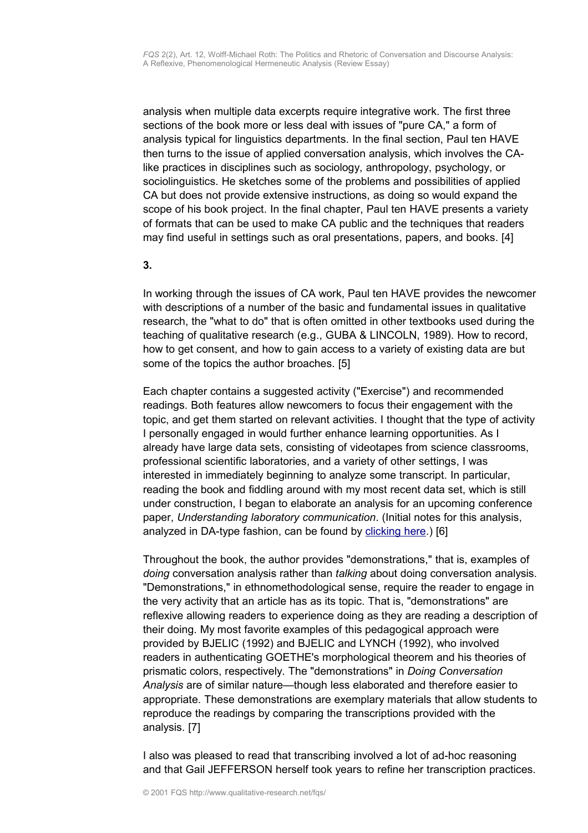analysis when multiple data excerpts require integrative work. The first three sections of the book more or less deal with issues of "pure CA," a form of analysis typical for linguistics departments. In the final section, Paul ten HAVE then turns to the issue of applied conversation analysis, which involves the CAlike practices in disciplines such as sociology, anthropology, psychology, or sociolinguistics. He sketches some of the problems and possibilities of applied CA but does not provide extensive instructions, as doing so would expand the scope of his book project. In the final chapter, Paul ten HAVE presents a variety of formats that can be used to make CA public and the techniques that readers may find useful in settings such as oral presentations, papers, and books. [4]

#### **3.**

In working through the issues of CA work, Paul ten HAVE provides the newcomer with descriptions of a number of the basic and fundamental issues in qualitative research, the "what to do" that is often omitted in other textbooks used during the teaching of qualitative research (e.g., GUBA & LINCOLN, 1989). How to record, how to get consent, and how to gain access to a variety of existing data are but some of the topics the author broaches. [5]

Each chapter contains a suggested activity ("Exercise") and recommended readings. Both features allow newcomers to focus their engagement with the topic, and get them started on relevant activities. I thought that the type of activity I personally engaged in would further enhance learning opportunities. As I already have large data sets, consisting of videotapes from science classrooms, professional scientific laboratories, and a variety of other settings, I was interested in immediately beginning to analyze some transcript. In particular, reading the book and fiddling around with my most recent data set, which is still under construction, I began to elaborate an analysis for an upcoming conference paper, *Understanding laboratory communication*. (Initial notes for this analysis, analyzed in DA-type fashion, can be found by [clicking here.](#page-33-0)) [6]

Throughout the book, the author provides "demonstrations," that is, examples of *doing* conversation analysis rather than *talking* about doing conversation analysis. "Demonstrations," in ethnomethodological sense, require the reader to engage in the very activity that an article has as its topic. That is, "demonstrations" are reflexive allowing readers to experience doing as they are reading a description of their doing. My most favorite examples of this pedagogical approach were provided by BJELIC (1992) and BJELIC and LYNCH (1992), who involved readers in authenticating GOETHE's morphological theorem and his theories of prismatic colors, respectively. The "demonstrations" in *Doing Conversation Analysis* are of similar nature—though less elaborated and therefore easier to appropriate. These demonstrations are exemplary materials that allow students to reproduce the readings by comparing the transcriptions provided with the analysis. [7]

I also was pleased to read that transcribing involved a lot of ad-hoc reasoning and that Gail JEFFERSON herself took years to refine her transcription practices.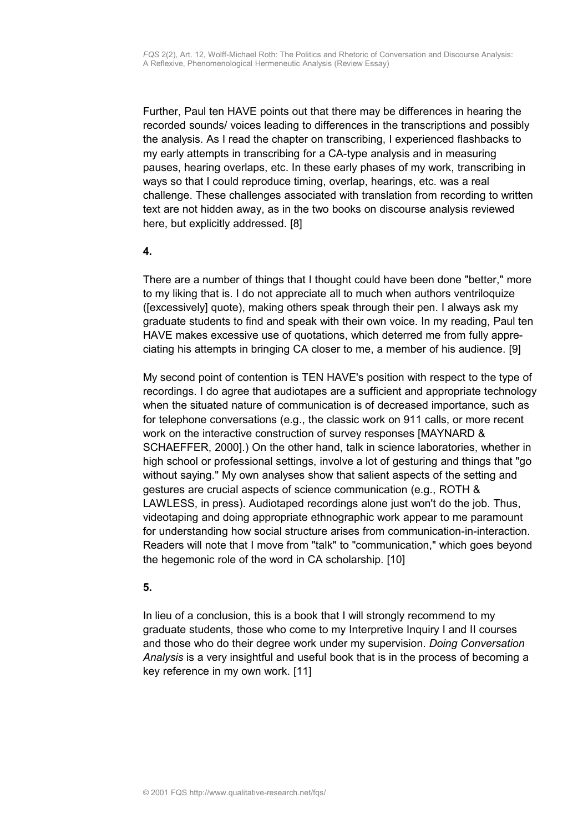Further, Paul ten HAVE points out that there may be differences in hearing the recorded sounds/ voices leading to differences in the transcriptions and possibly the analysis. As I read the chapter on transcribing, I experienced flashbacks to my early attempts in transcribing for a CA-type analysis and in measuring pauses, hearing overlaps, etc. In these early phases of my work, transcribing in ways so that I could reproduce timing, overlap, hearings, etc. was a real challenge. These challenges associated with translation from recording to written text are not hidden away, as in the two books on discourse analysis reviewed here, but explicitly addressed. [8]

## **4.**

There are a number of things that I thought could have been done "better," more to my liking that is. I do not appreciate all to much when authors ventriloquize ([excessively] quote), making others speak through their pen. I always ask my graduate students to find and speak with their own voice. In my reading, Paul ten HAVE makes excessive use of quotations, which deterred me from fully appreciating his attempts in bringing CA closer to me, a member of his audience. [9]

My second point of contention is TEN HAVE's position with respect to the type of recordings. I do agree that audiotapes are a sufficient and appropriate technology when the situated nature of communication is of decreased importance, such as for telephone conversations (e.g., the classic work on 911 calls, or more recent work on the interactive construction of survey responses [MAYNARD & SCHAEFFER, 2000].) On the other hand, talk in science laboratories, whether in high school or professional settings, involve a lot of gesturing and things that "go without saying." My own analyses show that salient aspects of the setting and gestures are crucial aspects of science communication (e.g., ROTH & LAWLESS, in press). Audiotaped recordings alone just won't do the job. Thus, videotaping and doing appropriate ethnographic work appear to me paramount for understanding how social structure arises from communication-in-interaction. Readers will note that I move from "talk" to "communication," which goes beyond the hegemonic role of the word in CA scholarship. [10]

## **5.**

<span id="page-31-0"></span>In lieu of a conclusion, this is a book that I will strongly recommend to my graduate students, those who come to my Interpretive Inquiry I and II courses and those who do their degree work under my supervision. *Doing Conversation Analysis* is a very insightful and useful book that is in the process of becoming a key reference in my own work. [11]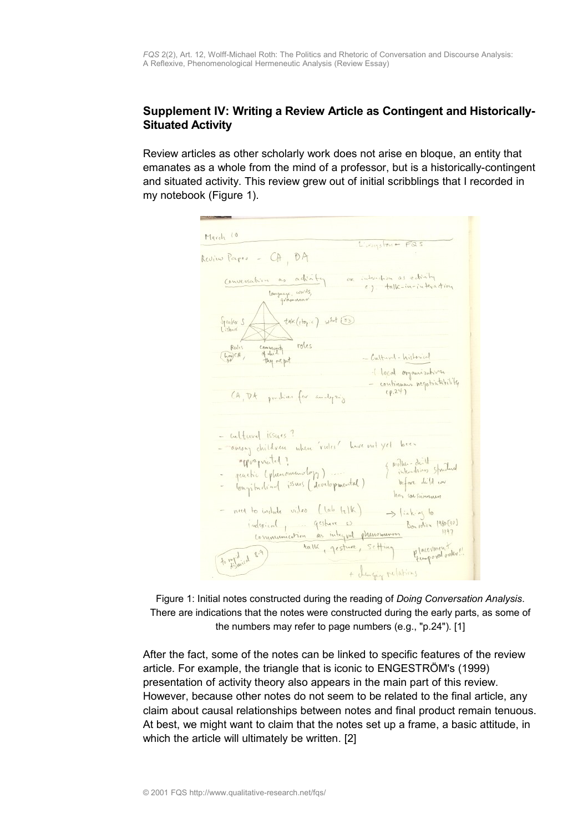### <span id="page-32-0"></span>**Supplement IV: Writing a Review Article as Contingent and Historically-Situated Activity**

Review articles as other scholarly work does not arise en bloque, an entity that emanates as a whole from the mind of a professor, but is a historically-contingent and situated activity. This review grew out of initial scribblings that I recorded in my notebook (Figure 1).

| March 10                                                                                              |      |
|-------------------------------------------------------------------------------------------------------|------|
| $L'$ <i><math>m_{13}</math></i> $b_{11} - FQS$                                                        |      |
| Review Papes - CA, DA                                                                                 |      |
| interchion as echicly<br>conversation as adinty<br>OVC.<br>e) talk-in-interaction<br>language, words, |      |
| $\star$ tak (they is) what (33)<br>Speaker S<br>Listene<br>Rules                                      |      |
| community roles<br>$(h_{pp})$ CA<br>- Culturel - historial<br>they out put                            |      |
| I local organization<br>- continuous negotiatability                                                  |      |
| (A, Dt ponchier for analyzing                                                                         |      |
| - cultural issues?<br>- among children when rules' have not yet been                                  |      |
|                                                                                                       |      |
| "Waprieted?<br>I molter-drill spectad<br>- questic (plunomunology)                                    |      |
| before dill we<br>- Conginational issues (developmental)<br>has car summer                            |      |
| need to include video (lab telk)<br>$\rightarrow$ lisking to                                          |      |
| Inderical, gesture w<br>Bourdin 1980(90)<br>communication as integral phenomenon                      | 1997 |
| talk, gesture, setting<br>Placermentales!<br>to my diaid 8.9)                                         |      |
| + during relations                                                                                    |      |

Figure 1: Initial notes constructed during the reading of *Doing Conversation Analysis*. There are indications that the notes were constructed during the early parts, as some of the numbers may refer to page numbers (e.g., "p.24"). [1]

After the fact, some of the notes can be linked to specific features of the review article. For example, the triangle that is iconic to ENGESTRÖM's (1999) presentation of activity theory also appears in the main part of this review. However, because other notes do not seem to be related to the final article, any claim about causal relationships between notes and final product remain tenuous. At best, we might want to claim that the notes set up a frame, a basic attitude, in which the article will ultimately be written. [2]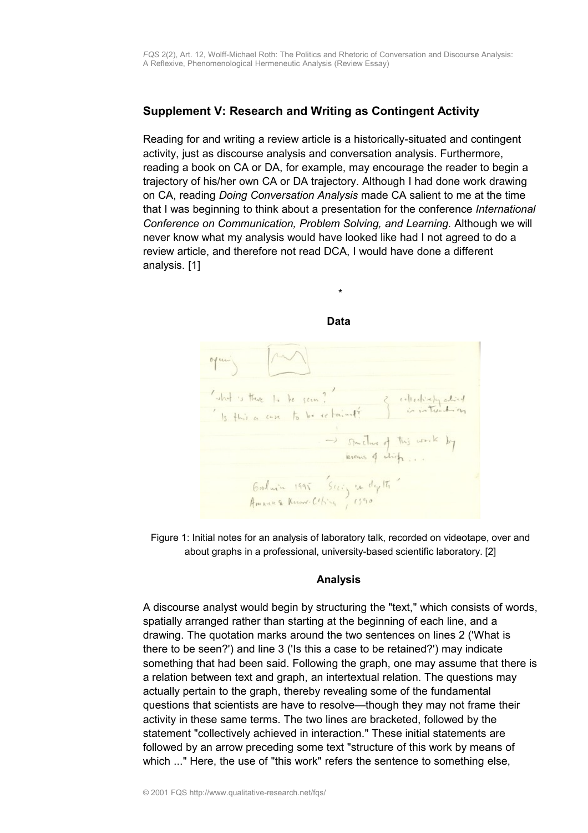# <span id="page-33-0"></span>**Supplement V: Research and Writing as Contingent Activity**

Reading for and writing a review article is a historically-situated and contingent activity, just as discourse analysis and conversation analysis. Furthermore, reading a book on CA or DA, for example, may encourage the reader to begin a trajectory of his/her own CA or DA trajectory. Although I had done work drawing on CA, reading *Doing Conversation Analysis* made CA salient to me at the time that I was beginning to think about a presentation for the conference *International Conference on Communication, Problem Solving, and Learning.* Although we will never know what my analysis would have looked like had I not agreed to do a review article, and therefore not read DCA, I would have done a different analysis. [1]



Figure 1: Initial notes for an analysis of laboratory talk, recorded on videotape, over and about graphs in a professional, university-based scientific laboratory. [2]

#### **Analysis**

A discourse analyst would begin by structuring the "text," which consists of words, spatially arranged rather than starting at the beginning of each line, and a drawing. The quotation marks around the two sentences on lines 2 ('What is there to be seen?') and line 3 ('Is this a case to be retained?') may indicate something that had been said. Following the graph, one may assume that there is a relation between text and graph, an intertextual relation. The questions may actually pertain to the graph, thereby revealing some of the fundamental questions that scientists are have to resolve—though they may not frame their activity in these same terms. The two lines are bracketed, followed by the statement "collectively achieved in interaction." These initial statements are followed by an arrow preceding some text "structure of this work by means of which ..." Here, the use of "this work" refers the sentence to something else,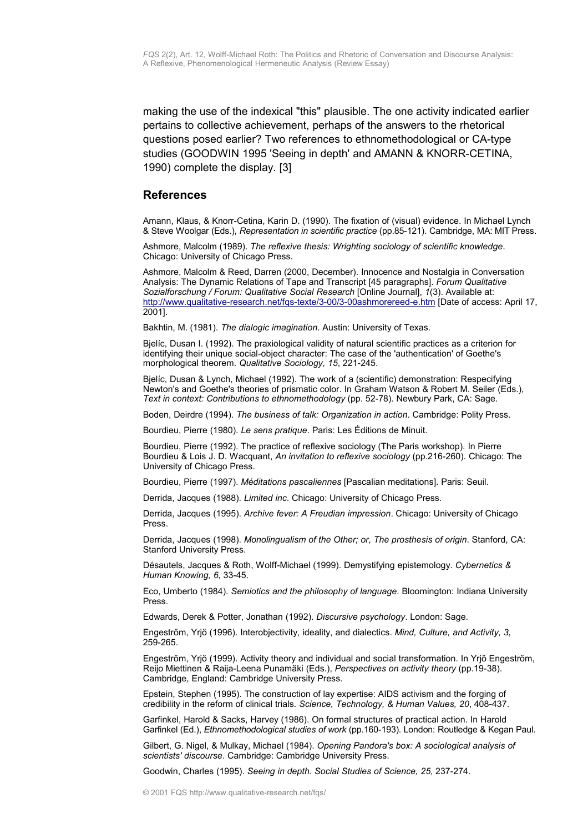making the use of the indexical "this" plausible. The one activity indicated earlier pertains to collective achievement, perhaps of the answers to the rhetorical questions posed earlier? Two references to ethnomethodological or CA-type studies (GOODWIN 1995 'Seeing in depth' and AMANN & KNORR-CETINA, 1990) complete the display. [3]

#### <span id="page-34-0"></span>**References**

Amann, Klaus, & Knorr-Cetina, Karin D. (1990). The fixation of (visual) evidence. In Michael Lynch & Steve Woolgar (Eds.), *Representation in scientific practice* (pp.85-121). Cambridge, MA: MIT Press.

Ashmore, Malcolm (1989). *The reflexive thesis: Wrighting sociology of scientific knowledge*. Chicago: University of Chicago Press.

Ashmore, Malcolm & Reed, Darren (2000, December). Innocence and Nostalgia in Conversation Analysis: The Dynamic Relations of Tape and Transcript [45 paragraphs]. *Forum Qualitative Sozialforschung / Forum: Qualitative Social Research* [Online Journal], *1*(3). Available at: <http://www.qualitative-research.net/fqs-texte/3-00/3-00ashmorereed-e.htm>[Date of access: April 17, 2001].

Bakhtin, M. (1981). *The dialogic imagination*. Austin: University of Texas.

Bjelíc, Dusan I. (1992). The praxiological validity of natural scientific practices as a criterion for identifying their unique social-object character: The case of the 'authentication' of Goethe's morphological theorem. *Qualitative Sociology, 15*, 221-245.

Bjelíc, Dusan & Lynch, Michael (1992). The work of a (scientific) demonstration: Respecifying Newton's and Goethe's theories of prismatic color. In Graham Watson & Robert M. Seiler (Eds.), *Text in context: Contributions to ethnomethodology* (pp. 52-78). Newbury Park, CA: Sage.

Boden, Deirdre (1994). *The business of talk: Organization in action*. Cambridge: Polity Press.

Bourdieu, Pierre (1980). *Le sens pratique*. Paris: Les Éditions de Minuit.

Bourdieu, Pierre (1992). The practice of reflexive sociology (The Paris workshop). In Pierre Bourdieu & Lois J. D. Wacquant, *An invitation to reflexive sociology* (pp.216-260). Chicago: The University of Chicago Press.

Bourdieu, Pierre (1997). *Méditations pascaliennes* [Pascalian meditations]. Paris: Seuil.

Derrida, Jacques (1988). *Limited inc*. Chicago: University of Chicago Press.

Derrida, Jacques (1995). *Archive fever: A Freudian impression*. Chicago: University of Chicago Press.

Derrida, Jacques (1998). *Monolingualism of the Other; or, The prosthesis of origin*. Stanford, CA: Stanford University Press.

Désautels, Jacques & Roth, Wolff-Michael (1999). Demystifying epistemology. *Cybernetics & Human Knowing, 6*, 33-45.

Eco, Umberto (1984). *Semiotics and the philosophy of language*. Bloomington: Indiana University Press.

Edwards, Derek & Potter, Jonathan (1992). *Discursive psychology*. London: Sage.

Engeström, Yrjö (1996). Interobjectivity, ideality, and dialectics. *Mind, Culture, and Activity, 3*, 259-265.

Engeström, Yrjö (1999). Activity theory and individual and social transformation. In Yrjö Engeström, Reijo Miettinen & Raija-Leena Punamäki (Eds.), *Perspectives on activity theory* (pp.19-38). Cambridge, England: Cambridge University Press.

Epstein, Stephen (1995). The construction of lay expertise: AIDS activism and the forging of credibility in the reform of clinical trials. *Science, Technology, & Human Values, 20*, 408-437.

Garfinkel, Harold & Sacks, Harvey (1986). On formal structures of practical action. In Harold Garfinkel (Ed.), *Ethnomethodological studies of work* (pp.160-193). London: Routledge & Kegan Paul.

Gilbert, G. Nigel, & Mulkay, Michael (1984). *Opening Pandora's box: A sociological analysis of scientists' discourse*. Cambridge: Cambridge University Press.

Goodwin, Charles (1995). *Seeing in depth. Social Studies of Science, 25*, 237-274.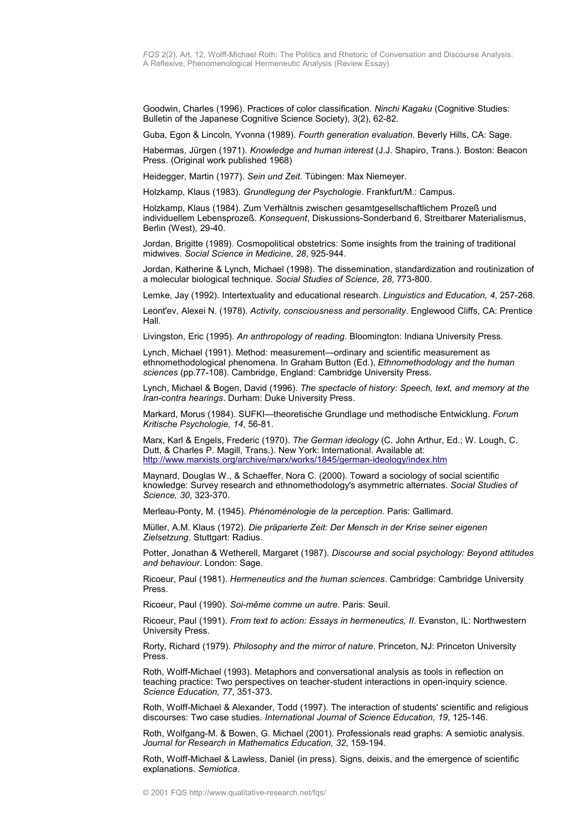Goodwin, Charles (1996). Practices of color classification. *Ninchi Kagaku* (Cognitive Studies: Bulletin of the Japanese Cognitive Science Society), *3*(2), 62-82.

Guba, Egon & Lincoln, Yvonna (1989). *Fourth generation evaluation*. Beverly Hills, CA: Sage.

Habermas, Jürgen (1971). *Knowledge and human interest* (J.J. Shapiro, Trans.). Boston: Beacon Press. (Original work published 1968)

Heidegger, Martin (1977). *Sein und Zeit*. Tübingen: Max Niemeyer.

Holzkamp, Klaus (1983). *Grundlegung der Psychologie*. Frankfurt/M.: Campus.

Holzkamp, Klaus (1984). Zum Verhältnis zwischen gesamtgesellschaftlichem Prozeß und individuellem Lebensprozeß. *Konsequent*, Diskussions-Sonderband 6, Streitbarer Materialismus, Berlin (West), 29-40.

Jordan, Brigitte (1989). Cosmopolitical obstetrics: Some insights from the training of traditional midwives. *Social Science in Medicine, 28*, 925-944.

Jordan, Katherine & Lynch, Michael (1998). The dissemination, standardization and routinization of a molecular biological technique. *Social Studies of Science, 28*, 773-800.

Lemke, Jay (1992). Intertextuality and educational research. *Linguistics and Education, 4*, 257-268.

Leont'ev, Alexei N. (1978). *Activity, consciousness and personality*. Englewood Cliffs, CA: Prentice Hall.

Livingston, Eric (1995). *An anthropology of reading*. Bloomington: Indiana University Press.

Lynch, Michael (1991). Method: measurement—ordinary and scientific measurement as ethnomethodological phenomena. In Graham Button (Ed.), *Ethnomethodology and the human sciences* (pp.77-108). Cambridge, England: Cambridge University Press.

Lynch, Michael & Bogen, David (1996). *The spectacle of history: Speech, text, and memory at the Iran-contra hearings*. Durham: Duke University Press.

Markard, Morus (1984). SUFKI—theoretische Grundlage und methodische Entwicklung. *Forum Kritische Psychologie, 14*, 56-81.

Marx, Karl & Engels, Frederic (1970). *The German ideology* (C. John Arthur, Ed.; W. Lough, C. Dutt, & Charles P. Magill, Trans.). New York: International. Available at: <http://www.marxists.org/archive/marx/works/1845/german-ideology/index.htm>

Maynard, Douglas W., & Schaeffer, Nora C. (2000). Toward a sociology of social scientific knowledge: Survey research and ethnomethodology's asymmetric alternates. *Social Studies of Science, 30*, 323-370.

Merleau-Ponty, M. (1945). *Phénoménologie de la perception*. Paris: Gallimard.

Müller, A.M. Klaus (1972). *Die präparierte Zeit: Der Mensch in der Krise seiner eigenen Zielsetzung*. Stuttgart: Radius.

Potter, Jonathan & Wetherell, Margaret (1987). *Discourse and social psychology: Beyond attitudes and behaviour*. London: Sage.

Ricoeur, Paul (1981). *Hermeneutics and the human sciences*. Cambridge: Cambridge University Press.

Ricoeur, Paul (1990). *Soi-même comme un autre*. Paris: Seuil.

Ricoeur, Paul (1991). *From text to action: Essays in hermeneutics, II*. Evanston, IL: Northwestern University Press.

Rorty, Richard (1979). *Philosophy and the mirror of nature*. Princeton, NJ: Princeton University Press.

Roth, Wolff-Michael (1993). Metaphors and conversational analysis as tools in reflection on teaching practice: Two perspectives on teacher-student interactions in open-inquiry science. *Science Education, 77*, 351-373.

Roth, Wolff-Michael & Alexander, Todd (1997). The interaction of students' scientific and religious discourses: Two case studies. *International Journal of Science Education, 19*, 125-146.

Roth, Wolfgang-M. & Bowen, G. Michael (2001). Professionals read graphs: A semiotic analysis. *Journal for Research in Mathematics Education, 32*, 159-194.

Roth, Wolff-Michael & Lawless, Daniel (in press). Signs, deixis, and the emergence of scientific explanations. *Semiotica*.